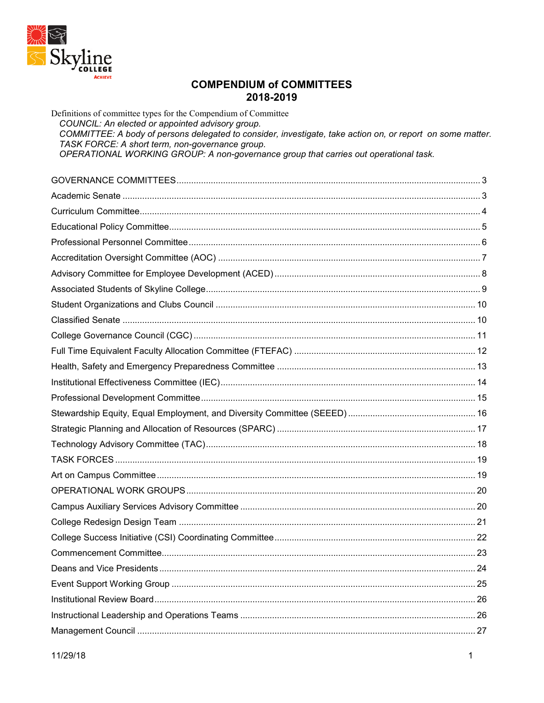

## **COMPENDIUM of COMMITTEES** 2018-2019

Definitions of committee types for the Compendium of Committee COUNCIL: An elected or appointed advisory group. COMMITTEE: A body of persons delegated to consider, investigate, take action on, or report on some matter. TASK FORCE: A short term, non-governance group. OPERATIONAL WORKING GROUP: A non-governance group that carries out operational task. COVERNANCE COMMITTEES  $\mathbf{z}$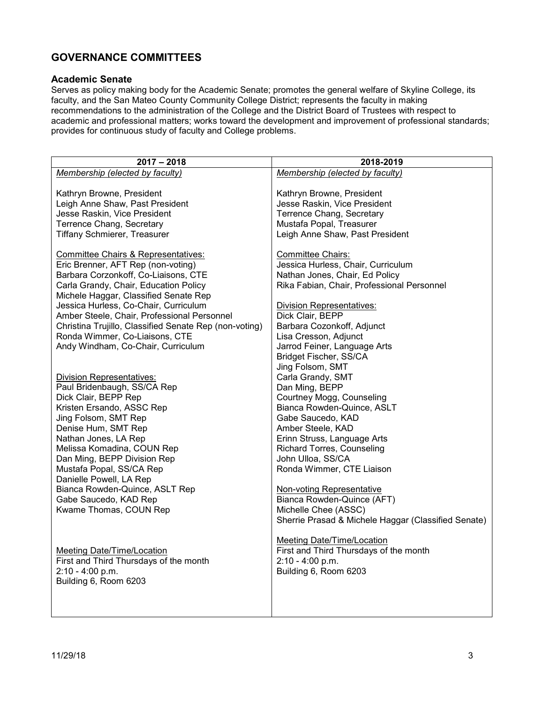# <span id="page-2-0"></span>**GOVERNANCE COMMITTEES**

#### <span id="page-2-1"></span>**Academic Senate**

Serves as policy making body for the Academic Senate; promotes the general welfare of Skyline College, its faculty, and the San Mateo County Community College District; represents the faculty in making recommendations to the administration of the College and the District Board of Trustees with respect to academic and professional matters; works toward the development and improvement of professional standards; provides for continuous study of faculty and College problems.

| $2017 - 2018$                                                                                                                                                                                                                                                                                                                                                                                                                                                                                                                                                                                         | 2018-2019                                                                                                                                                                                                                                                                                                                                                                                                                                                                                            |
|-------------------------------------------------------------------------------------------------------------------------------------------------------------------------------------------------------------------------------------------------------------------------------------------------------------------------------------------------------------------------------------------------------------------------------------------------------------------------------------------------------------------------------------------------------------------------------------------------------|------------------------------------------------------------------------------------------------------------------------------------------------------------------------------------------------------------------------------------------------------------------------------------------------------------------------------------------------------------------------------------------------------------------------------------------------------------------------------------------------------|
| Membership (elected by faculty)                                                                                                                                                                                                                                                                                                                                                                                                                                                                                                                                                                       | Membership (elected by faculty)                                                                                                                                                                                                                                                                                                                                                                                                                                                                      |
| Kathryn Browne, President<br>Leigh Anne Shaw, Past President<br>Jesse Raskin, Vice President<br>Terrence Chang, Secretary<br>Tiffany Schmierer, Treasurer<br><b>Committee Chairs &amp; Representatives:</b><br>Eric Brenner, AFT Rep (non-voting)<br>Barbara Corzonkoff, Co-Liaisons, CTE<br>Carla Grandy, Chair, Education Policy<br>Michele Haggar, Classified Senate Rep<br>Jessica Hurless, Co-Chair, Curriculum<br>Amber Steele, Chair, Professional Personnel<br>Christina Trujillo, Classified Senate Rep (non-voting)<br>Ronda Wimmer, Co-Liaisons, CTE<br>Andy Windham, Co-Chair, Curriculum | Kathryn Browne, President<br>Jesse Raskin, Vice President<br>Terrence Chang, Secretary<br>Mustafa Popal, Treasurer<br>Leigh Anne Shaw, Past President<br><b>Committee Chairs:</b><br>Jessica Hurless, Chair, Curriculum<br>Nathan Jones, Chair, Ed Policy<br>Rika Fabian, Chair, Professional Personnel<br><b>Division Representatives:</b><br>Dick Clair, BEPP<br>Barbara Cozonkoff, Adjunct<br>Lisa Cresson, Adjunct<br>Jarrod Feiner, Language Arts<br>Bridget Fischer, SS/CA<br>Jing Folsom, SMT |
| <b>Division Representatives:</b>                                                                                                                                                                                                                                                                                                                                                                                                                                                                                                                                                                      | Carla Grandy, SMT                                                                                                                                                                                                                                                                                                                                                                                                                                                                                    |
| Paul Bridenbaugh, SS/CA Rep<br>Dick Clair, BEPP Rep                                                                                                                                                                                                                                                                                                                                                                                                                                                                                                                                                   | Dan Ming, BEPP<br>Courtney Mogg, Counseling                                                                                                                                                                                                                                                                                                                                                                                                                                                          |
| Kristen Ersando, ASSC Rep                                                                                                                                                                                                                                                                                                                                                                                                                                                                                                                                                                             | Bianca Rowden-Quince, ASLT                                                                                                                                                                                                                                                                                                                                                                                                                                                                           |
| Jing Folsom, SMT Rep                                                                                                                                                                                                                                                                                                                                                                                                                                                                                                                                                                                  | Gabe Saucedo, KAD                                                                                                                                                                                                                                                                                                                                                                                                                                                                                    |
| Denise Hum, SMT Rep                                                                                                                                                                                                                                                                                                                                                                                                                                                                                                                                                                                   | Amber Steele, KAD                                                                                                                                                                                                                                                                                                                                                                                                                                                                                    |
| Nathan Jones, LA Rep                                                                                                                                                                                                                                                                                                                                                                                                                                                                                                                                                                                  | Erinn Struss, Language Arts                                                                                                                                                                                                                                                                                                                                                                                                                                                                          |
| Melissa Komadina, COUN Rep<br>Dan Ming, BEPP Division Rep                                                                                                                                                                                                                                                                                                                                                                                                                                                                                                                                             | <b>Richard Torres, Counseling</b><br>John Ulloa, SS/CA                                                                                                                                                                                                                                                                                                                                                                                                                                               |
| Mustafa Popal, SS/CA Rep                                                                                                                                                                                                                                                                                                                                                                                                                                                                                                                                                                              | Ronda Wimmer, CTE Liaison                                                                                                                                                                                                                                                                                                                                                                                                                                                                            |
| Danielle Powell, LA Rep                                                                                                                                                                                                                                                                                                                                                                                                                                                                                                                                                                               |                                                                                                                                                                                                                                                                                                                                                                                                                                                                                                      |
| Bianca Rowden-Quince, ASLT Rep                                                                                                                                                                                                                                                                                                                                                                                                                                                                                                                                                                        | Non-voting Representative                                                                                                                                                                                                                                                                                                                                                                                                                                                                            |
| Gabe Saucedo, KAD Rep<br>Kwame Thomas, COUN Rep                                                                                                                                                                                                                                                                                                                                                                                                                                                                                                                                                       | Bianca Rowden-Quince (AFT)<br>Michelle Chee (ASSC)                                                                                                                                                                                                                                                                                                                                                                                                                                                   |
|                                                                                                                                                                                                                                                                                                                                                                                                                                                                                                                                                                                                       | Sherrie Prasad & Michele Haggar (Classified Senate)                                                                                                                                                                                                                                                                                                                                                                                                                                                  |
|                                                                                                                                                                                                                                                                                                                                                                                                                                                                                                                                                                                                       |                                                                                                                                                                                                                                                                                                                                                                                                                                                                                                      |
| Meeting Date/Time/Location<br>First and Third Thursdays of the month<br>$2:10 - 4:00 p.m.$<br>Building 6, Room 6203                                                                                                                                                                                                                                                                                                                                                                                                                                                                                   | Meeting Date/Time/Location<br>First and Third Thursdays of the month<br>$2:10 - 4:00 p.m.$<br>Building 6, Room 6203                                                                                                                                                                                                                                                                                                                                                                                  |
|                                                                                                                                                                                                                                                                                                                                                                                                                                                                                                                                                                                                       |                                                                                                                                                                                                                                                                                                                                                                                                                                                                                                      |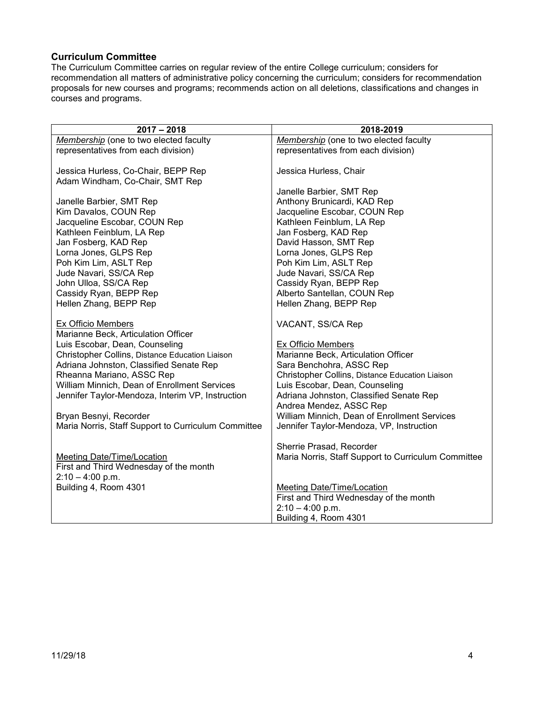#### <span id="page-3-0"></span>**Curriculum Committee**

The Curriculum Committee carries on regular review of the entire College curriculum; considers for recommendation all matters of administrative policy concerning the curriculum; considers for recommendation proposals for new courses and programs; recommends action on all deletions, classifications and changes in courses and programs.

| $2017 - 2018$                                                                                                                                                                             | 2018-2019                                                                                                  |
|-------------------------------------------------------------------------------------------------------------------------------------------------------------------------------------------|------------------------------------------------------------------------------------------------------------|
|                                                                                                                                                                                           |                                                                                                            |
| Membership (one to two elected faculty                                                                                                                                                    | Membership (one to two elected faculty                                                                     |
| representatives from each division)                                                                                                                                                       | representatives from each division)                                                                        |
|                                                                                                                                                                                           |                                                                                                            |
| Jessica Hurless, Co-Chair, BEPP Rep                                                                                                                                                       | Jessica Hurless, Chair                                                                                     |
| Adam Windham, Co-Chair, SMT Rep                                                                                                                                                           |                                                                                                            |
|                                                                                                                                                                                           | Janelle Barbier, SMT Rep                                                                                   |
| Janelle Barbier, SMT Rep                                                                                                                                                                  | Anthony Brunicardi, KAD Rep                                                                                |
| Kim Davalos, COUN Rep                                                                                                                                                                     | Jacqueline Escobar, COUN Rep                                                                               |
| Jacqueline Escobar, COUN Rep                                                                                                                                                              | Kathleen Feinblum, LA Rep                                                                                  |
| Kathleen Feinblum, LA Rep                                                                                                                                                                 | Jan Fosberg, KAD Rep                                                                                       |
| Jan Fosberg, KAD Rep                                                                                                                                                                      | David Hasson, SMT Rep                                                                                      |
| Lorna Jones, GLPS Rep                                                                                                                                                                     | Lorna Jones, GLPS Rep                                                                                      |
| Poh Kim Lim, ASLT Rep                                                                                                                                                                     | Poh Kim Lim, ASLT Rep                                                                                      |
| Jude Navari, SS/CA Rep                                                                                                                                                                    | Jude Navari, SS/CA Rep                                                                                     |
| John Ulloa, SS/CA Rep                                                                                                                                                                     | Cassidy Ryan, BEPP Rep                                                                                     |
| Cassidy Ryan, BEPP Rep                                                                                                                                                                    | Alberto Santellan, COUN Rep                                                                                |
| Hellen Zhang, BEPP Rep                                                                                                                                                                    | Hellen Zhang, BEPP Rep                                                                                     |
| Ex Officio Members<br>Marianne Beck, Articulation Officer<br>Luis Escobar, Dean, Counseling<br>Christopher Collins, Distance Education Liaison<br>Adriana Johnston, Classified Senate Rep | VACANT, SS/CA Rep<br>Ex Officio Members<br>Marianne Beck, Articulation Officer<br>Sara Benchohra, ASSC Rep |
| Rheanna Mariano, ASSC Rep                                                                                                                                                                 | Christopher Collins, Distance Education Liaison                                                            |
| William Minnich, Dean of Enrollment Services                                                                                                                                              | Luis Escobar, Dean, Counseling                                                                             |
| Jennifer Taylor-Mendoza, Interim VP, Instruction                                                                                                                                          | Adriana Johnston, Classified Senate Rep                                                                    |
|                                                                                                                                                                                           | Andrea Mendez, ASSC Rep                                                                                    |
| Bryan Besnyi, Recorder                                                                                                                                                                    | William Minnich, Dean of Enrollment Services                                                               |
| Maria Norris, Staff Support to Curriculum Committee                                                                                                                                       | Jennifer Taylor-Mendoza, VP, Instruction                                                                   |
|                                                                                                                                                                                           |                                                                                                            |
|                                                                                                                                                                                           | Sherrie Prasad, Recorder                                                                                   |
| <b>Meeting Date/Time/Location</b>                                                                                                                                                         | Maria Norris, Staff Support to Curriculum Committee                                                        |
| First and Third Wednesday of the month                                                                                                                                                    |                                                                                                            |
| $2:10 - 4:00$ p.m.                                                                                                                                                                        |                                                                                                            |
| Building 4, Room 4301                                                                                                                                                                     | <b>Meeting Date/Time/Location</b>                                                                          |
|                                                                                                                                                                                           | First and Third Wednesday of the month                                                                     |
|                                                                                                                                                                                           | $2:10 - 4:00$ p.m.                                                                                         |
|                                                                                                                                                                                           | Building 4, Room 4301                                                                                      |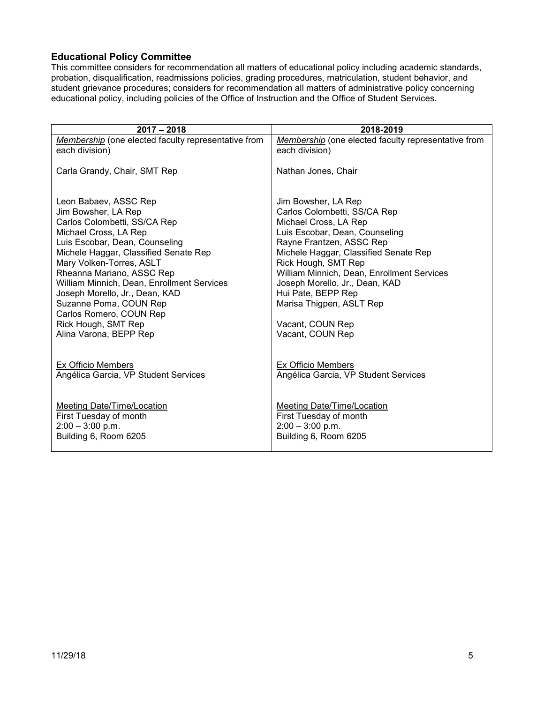### <span id="page-4-0"></span>**Educational Policy Committee**

This committee considers for recommendation all matters of educational policy including academic standards, probation, disqualification, readmissions policies, grading procedures, matriculation, student behavior, and student grievance procedures; considers for recommendation all matters of administrative policy concerning educational policy, including policies of the Office of Instruction and the Office of Student Services.

| $2017 - 2018$                                                                                                                                                                                                                                                                                                                                                                                                                   | 2018-2019                                                                                                                                                                                                                                                                                                                                                                            |
|---------------------------------------------------------------------------------------------------------------------------------------------------------------------------------------------------------------------------------------------------------------------------------------------------------------------------------------------------------------------------------------------------------------------------------|--------------------------------------------------------------------------------------------------------------------------------------------------------------------------------------------------------------------------------------------------------------------------------------------------------------------------------------------------------------------------------------|
| Membership (one elected faculty representative from                                                                                                                                                                                                                                                                                                                                                                             | Membership (one elected faculty representative from                                                                                                                                                                                                                                                                                                                                  |
| each division)                                                                                                                                                                                                                                                                                                                                                                                                                  | each division)                                                                                                                                                                                                                                                                                                                                                                       |
| Carla Grandy, Chair, SMT Rep                                                                                                                                                                                                                                                                                                                                                                                                    | Nathan Jones, Chair                                                                                                                                                                                                                                                                                                                                                                  |
| Leon Babaev, ASSC Rep<br>Jim Bowsher, LA Rep<br>Carlos Colombetti, SS/CA Rep<br>Michael Cross, LA Rep<br>Luis Escobar, Dean, Counseling<br>Michele Haggar, Classified Senate Rep<br>Mary Volken-Torres, ASLT<br>Rheanna Mariano, ASSC Rep<br>William Minnich, Dean, Enrollment Services<br>Joseph Morello, Jr., Dean, KAD<br>Suzanne Poma, COUN Rep<br>Carlos Romero, COUN Rep<br>Rick Hough, SMT Rep<br>Alina Varona, BEPP Rep | Jim Bowsher, LA Rep<br>Carlos Colombetti, SS/CA Rep<br>Michael Cross, LA Rep<br>Luis Escobar, Dean, Counseling<br>Rayne Frantzen, ASSC Rep<br>Michele Haggar, Classified Senate Rep<br>Rick Hough, SMT Rep<br>William Minnich, Dean, Enrollment Services<br>Joseph Morello, Jr., Dean, KAD<br>Hui Pate, BEPP Rep<br>Marisa Thigpen, ASLT Rep<br>Vacant, COUN Rep<br>Vacant, COUN Rep |
| Ex Officio Members                                                                                                                                                                                                                                                                                                                                                                                                              | <b>Ex Officio Members</b>                                                                                                                                                                                                                                                                                                                                                            |
| Angélica Garcia, VP Student Services                                                                                                                                                                                                                                                                                                                                                                                            | Angélica Garcia, VP Student Services                                                                                                                                                                                                                                                                                                                                                 |
| <b>Meeting Date/Time/Location</b>                                                                                                                                                                                                                                                                                                                                                                                               | <b>Meeting Date/Time/Location</b>                                                                                                                                                                                                                                                                                                                                                    |
| First Tuesday of month                                                                                                                                                                                                                                                                                                                                                                                                          | First Tuesday of month                                                                                                                                                                                                                                                                                                                                                               |
| $2:00 - 3:00$ p.m.                                                                                                                                                                                                                                                                                                                                                                                                              | $2:00 - 3:00$ p.m.                                                                                                                                                                                                                                                                                                                                                                   |
| Building 6, Room 6205                                                                                                                                                                                                                                                                                                                                                                                                           | Building 6, Room 6205                                                                                                                                                                                                                                                                                                                                                                |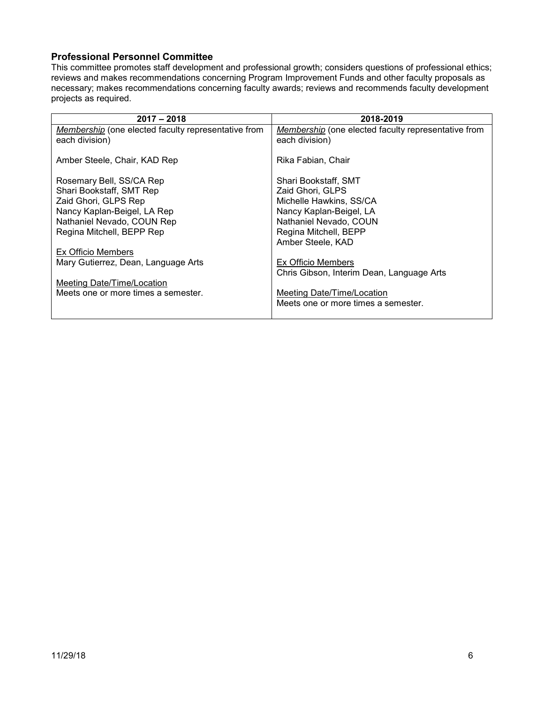#### <span id="page-5-0"></span>**Professional Personnel Committee**

This committee promotes staff development and professional growth; considers questions of professional ethics; reviews and makes recommendations concerning Program Improvement Funds and other faculty proposals as necessary; makes recommendations concerning faculty awards; reviews and recommends faculty development projects as required.

| $2017 - 2018$                                                         | 2018-2019                                                             |
|-----------------------------------------------------------------------|-----------------------------------------------------------------------|
| Membership (one elected faculty representative from<br>each division) | Membership (one elected faculty representative from<br>each division) |
| Amber Steele, Chair, KAD Rep                                          | Rika Fabian, Chair                                                    |
| Rosemary Bell, SS/CA Rep                                              | Shari Bookstaff, SMT                                                  |
| Shari Bookstaff, SMT Rep                                              | Zaid Ghori, GLPS                                                      |
| Zaid Ghori, GLPS Rep                                                  | Michelle Hawkins, SS/CA                                               |
| Nancy Kaplan-Beigel, LA Rep                                           | Nancy Kaplan-Beigel, LA                                               |
| Nathaniel Nevado, COUN Rep                                            | Nathaniel Nevado, COUN                                                |
| Regina Mitchell, BEPP Rep                                             | Regina Mitchell, BEPP                                                 |
|                                                                       | Amber Steele, KAD                                                     |
| Ex Officio Members                                                    |                                                                       |
| Mary Gutierrez, Dean, Language Arts                                   | Ex Officio Members                                                    |
|                                                                       | Chris Gibson, Interim Dean, Language Arts                             |
| Meeting Date/Time/Location                                            |                                                                       |
| Meets one or more times a semester.                                   | Meeting Date/Time/Location                                            |
|                                                                       | Meets one or more times a semester.                                   |
|                                                                       |                                                                       |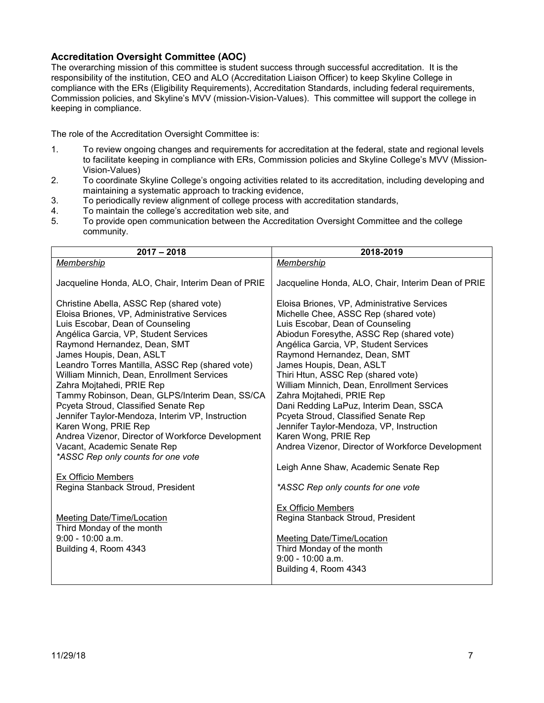#### <span id="page-6-0"></span>**Accreditation Oversight Committee (AOC)**

The overarching mission of this committee is student success through successful accreditation. It is the responsibility of the institution, CEO and ALO (Accreditation Liaison Officer) to keep Skyline College in compliance with the ERs (Eligibility Requirements), Accreditation Standards, including federal requirements, Commission policies, and Skyline's MVV (mission-Vision-Values). This committee will support the college in keeping in compliance.

The role of the Accreditation Oversight Committee is:

- 1. To review ongoing changes and requirements for accreditation at the federal, state and regional levels to facilitate keeping in compliance with ERs, Commission policies and Skyline College's MVV (Mission-Vision-Values)
- 2. To coordinate Skyline College's ongoing activities related to its accreditation, including developing and maintaining a systematic approach to tracking evidence,
- 3. To periodically review alignment of college process with accreditation standards,<br>4. To maintain the college's accreditation web site, and
- To maintain the college's accreditation web site, and
- 5. To provide open communication between the Accreditation Oversight Committee and the college community.

| $2017 - 2018$                                                                                                                                                                                                                                                                                                                                                                                                                                                                                                                                                                                                                                                  | 2018-2019                                                                                                                                                                                                                                                                                                                                                                                                                                                                                                                                                                                              |
|----------------------------------------------------------------------------------------------------------------------------------------------------------------------------------------------------------------------------------------------------------------------------------------------------------------------------------------------------------------------------------------------------------------------------------------------------------------------------------------------------------------------------------------------------------------------------------------------------------------------------------------------------------------|--------------------------------------------------------------------------------------------------------------------------------------------------------------------------------------------------------------------------------------------------------------------------------------------------------------------------------------------------------------------------------------------------------------------------------------------------------------------------------------------------------------------------------------------------------------------------------------------------------|
| <b>Membership</b>                                                                                                                                                                                                                                                                                                                                                                                                                                                                                                                                                                                                                                              | Membership                                                                                                                                                                                                                                                                                                                                                                                                                                                                                                                                                                                             |
| Jacqueline Honda, ALO, Chair, Interim Dean of PRIE                                                                                                                                                                                                                                                                                                                                                                                                                                                                                                                                                                                                             | Jacqueline Honda, ALO, Chair, Interim Dean of PRIE                                                                                                                                                                                                                                                                                                                                                                                                                                                                                                                                                     |
| Christine Abella, ASSC Rep (shared vote)<br>Eloisa Briones, VP, Administrative Services<br>Luis Escobar, Dean of Counseling<br>Angélica Garcia, VP, Student Services<br>Raymond Hernandez, Dean, SMT<br>James Houpis, Dean, ASLT<br>Leandro Torres Mantilla, ASSC Rep (shared vote)<br>William Minnich, Dean, Enrollment Services<br>Zahra Mojtahedi, PRIE Rep<br>Tammy Robinson, Dean, GLPS/Interim Dean, SS/CA<br>Pcyeta Stroud, Classified Senate Rep<br>Jennifer Taylor-Mendoza, Interim VP, Instruction<br>Karen Wong, PRIE Rep<br>Andrea Vizenor, Director of Workforce Development<br>Vacant, Academic Senate Rep<br>*ASSC Rep only counts for one vote | Eloisa Briones, VP, Administrative Services<br>Michelle Chee, ASSC Rep (shared vote)<br>Luis Escobar, Dean of Counseling<br>Abiodun Foresythe, ASSC Rep (shared vote)<br>Angélica Garcia, VP, Student Services<br>Raymond Hernandez, Dean, SMT<br>James Houpis, Dean, ASLT<br>Thiri Htun, ASSC Rep (shared vote)<br>William Minnich, Dean, Enrollment Services<br>Zahra Mojtahedi, PRIE Rep<br>Dani Redding LaPuz, Interim Dean, SSCA<br>Pcyeta Stroud, Classified Senate Rep<br>Jennifer Taylor-Mendoza, VP, Instruction<br>Karen Wong, PRIE Rep<br>Andrea Vizenor, Director of Workforce Development |
| Ex Officio Members<br>Regina Stanback Stroud, President                                                                                                                                                                                                                                                                                                                                                                                                                                                                                                                                                                                                        | Leigh Anne Shaw, Academic Senate Rep<br>*ASSC Rep only counts for one vote                                                                                                                                                                                                                                                                                                                                                                                                                                                                                                                             |
| <b>Meeting Date/Time/Location</b><br>Third Monday of the month<br>$9:00 - 10:00$ a.m.<br>Building 4, Room 4343                                                                                                                                                                                                                                                                                                                                                                                                                                                                                                                                                 | Ex Officio Members<br>Regina Stanback Stroud, President<br><b>Meeting Date/Time/Location</b><br>Third Monday of the month<br>9:00 - 10:00 a.m.<br>Building 4, Room 4343                                                                                                                                                                                                                                                                                                                                                                                                                                |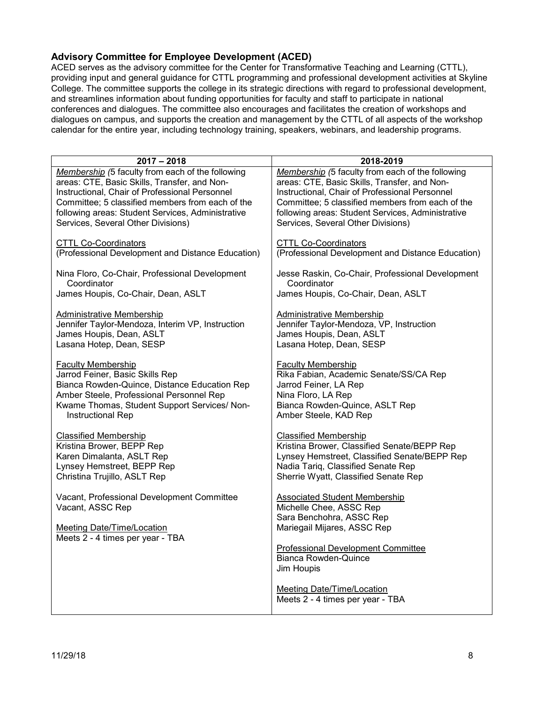### <span id="page-7-0"></span>**Advisory Committee for Employee Development (ACED)**

ACED serves as the advisory committee for the Center for Transformative Teaching and Learning (CTTL), providing input and general guidance for CTTL programming and professional development activities at Skyline College. The committee supports the college in its strategic directions with regard to professional development, and streamlines information about funding opportunities for faculty and staff to participate in national conferences and dialogues. The committee also encourages and facilitates the creation of workshops and dialogues on campus, and supports the creation and management by the CTTL of all aspects of the workshop calendar for the entire year, including technology training, speakers, webinars, and leadership programs.

| $2017 - 2018$                                                                                       | 2018-2019                                                                                                                  |
|-----------------------------------------------------------------------------------------------------|----------------------------------------------------------------------------------------------------------------------------|
| Membership (5 faculty from each of the following                                                    | Membership (5 faculty from each of the following                                                                           |
| areas: CTE, Basic Skills, Transfer, and Non-                                                        | areas: CTE, Basic Skills, Transfer, and Non-                                                                               |
| Instructional, Chair of Professional Personnel                                                      | Instructional, Chair of Professional Personnel                                                                             |
| Committee; 5 classified members from each of the                                                    | Committee; 5 classified members from each of the                                                                           |
| following areas: Student Services, Administrative                                                   | following areas: Student Services, Administrative                                                                          |
| Services, Several Other Divisions)                                                                  | Services, Several Other Divisions)                                                                                         |
| <b>CTTL Co-Coordinators</b>                                                                         | <b>CTTL Co-Coordinators</b>                                                                                                |
| (Professional Development and Distance Education)                                                   | (Professional Development and Distance Education)                                                                          |
| Nina Floro, Co-Chair, Professional Development                                                      | Jesse Raskin, Co-Chair, Professional Development                                                                           |
| Coordinator                                                                                         | Coordinator                                                                                                                |
| James Houpis, Co-Chair, Dean, ASLT                                                                  | James Houpis, Co-Chair, Dean, ASLT                                                                                         |
| <b>Administrative Membership</b>                                                                    | <b>Administrative Membership</b>                                                                                           |
| Jennifer Taylor-Mendoza, Interim VP, Instruction                                                    | Jennifer Taylor-Mendoza, VP, Instruction                                                                                   |
| James Houpis, Dean, ASLT                                                                            | James Houpis, Dean, ASLT                                                                                                   |
| Lasana Hotep, Dean, SESP                                                                            | Lasana Hotep, Dean, SESP                                                                                                   |
| <b>Faculty Membership</b>                                                                           | <b>Faculty Membership</b>                                                                                                  |
| Jarrod Feiner, Basic Skills Rep                                                                     | Rika Fabian, Academic Senate/SS/CA Rep                                                                                     |
| Bianca Rowden-Quince, Distance Education Rep                                                        | Jarrod Feiner, LA Rep                                                                                                      |
| Amber Steele, Professional Personnel Rep                                                            | Nina Floro, LA Rep                                                                                                         |
| Kwame Thomas, Student Support Services/ Non-                                                        | Bianca Rowden-Quince, ASLT Rep                                                                                             |
| Instructional Rep                                                                                   | Amber Steele, KAD Rep                                                                                                      |
| <b>Classified Membership</b>                                                                        | <b>Classified Membership</b>                                                                                               |
| Kristina Brower, BEPP Rep                                                                           | Kristina Brower, Classified Senate/BEPP Rep                                                                                |
| Karen Dimalanta, ASLT Rep                                                                           | Lynsey Hemstreet, Classified Senate/BEPP Rep                                                                               |
| Lynsey Hemstreet, BEPP Rep                                                                          | Nadia Tariq, Classified Senate Rep                                                                                         |
| Christina Trujillo, ASLT Rep                                                                        | Sherrie Wyatt, Classified Senate Rep                                                                                       |
| Vacant, Professional Development Committee<br>Vacant, ASSC Rep<br><b>Meeting Date/Time/Location</b> | <b>Associated Student Membership</b><br>Michelle Chee, ASSC Rep<br>Sara Benchohra, ASSC Rep<br>Mariegail Mijares, ASSC Rep |
| Meets 2 - 4 times per year - TBA                                                                    | <b>Professional Development Committee</b><br><b>Bianca Rowden-Quince</b><br>Jim Houpis                                     |
|                                                                                                     | <b>Meeting Date/Time/Location</b><br>Meets 2 - 4 times per year - TBA                                                      |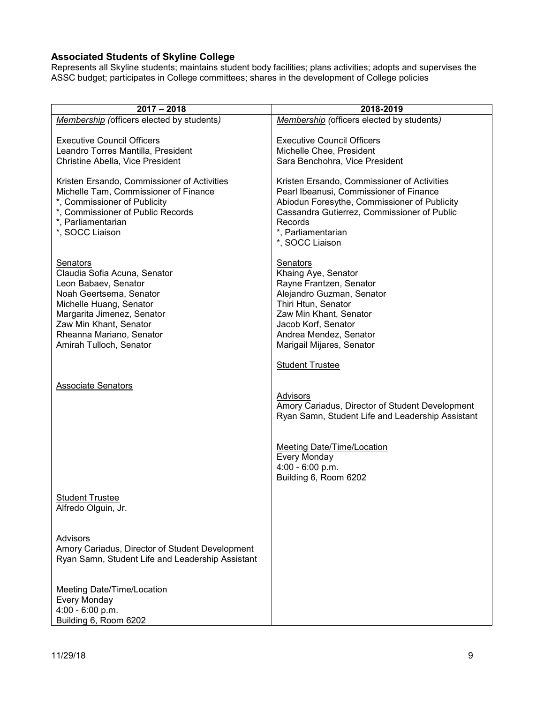### <span id="page-8-0"></span>**Associated Students of Skyline College**

Represents all Skyline students; maintains student body facilities; plans activities; adopts and supervises the ASSC budget; participates in College committees; shares in the development of College policies

| $2017 - 2018$                                         | 2018-2019                                        |
|-------------------------------------------------------|--------------------------------------------------|
| Membership (officers elected by students)             | Membership (officers elected by students)        |
|                                                       |                                                  |
| <b>Executive Council Officers</b>                     | <b>Executive Council Officers</b>                |
| Leandro Torres Mantilla, President                    | Michelle Chee, President                         |
| Christine Abella, Vice President                      | Sara Benchohra, Vice President                   |
|                                                       |                                                  |
| Kristen Ersando, Commissioner of Activities           | Kristen Ersando, Commissioner of Activities      |
| Michelle Tam, Commissioner of Finance                 | Pearl Ibeanusi, Commissioner of Finance          |
| *, Commissioner of Publicity                          | Abiodun Foresythe, Commissioner of Publicity     |
| *, Commissioner of Public Records                     | Cassandra Gutierrez, Commissioner of Public      |
| *, Parliamentarian                                    | Records                                          |
| *, SOCC Liaison                                       | *, Parliamentarian                               |
|                                                       | *, SOCC Liaison                                  |
|                                                       |                                                  |
| Senators                                              | Senators                                         |
| Claudia Sofia Acuna, Senator                          | Khaing Aye, Senator                              |
| Leon Babaev, Senator                                  | Rayne Frantzen, Senator                          |
| Noah Geertsema, Senator                               | Alejandro Guzman, Senator<br>Thiri Htun, Senator |
| Michelle Huang, Senator<br>Margarita Jimenez, Senator | Zaw Min Khant, Senator                           |
| Zaw Min Khant, Senator                                | Jacob Korf, Senator                              |
| Rheanna Mariano, Senator                              | Andrea Mendez, Senator                           |
| Amirah Tulloch, Senator                               | Marigail Mijares, Senator                        |
|                                                       |                                                  |
|                                                       | <b>Student Trustee</b>                           |
|                                                       |                                                  |
| <b>Associate Senators</b>                             |                                                  |
|                                                       | Advisors                                         |
|                                                       | Amory Cariadus, Director of Student Development  |
|                                                       | Ryan Samn, Student Life and Leadership Assistant |
|                                                       |                                                  |
|                                                       |                                                  |
|                                                       | <b>Meeting Date/Time/Location</b>                |
|                                                       | Every Monday                                     |
|                                                       | $4:00 - 6:00 p.m.$                               |
|                                                       | Building 6, Room 6202                            |
|                                                       |                                                  |
| <b>Student Trustee</b><br>Alfredo Olguin, Jr.         |                                                  |
|                                                       |                                                  |
|                                                       |                                                  |
| <b>Advisors</b>                                       |                                                  |
| Amory Cariadus, Director of Student Development       |                                                  |
| Ryan Samn, Student Life and Leadership Assistant      |                                                  |
|                                                       |                                                  |
|                                                       |                                                  |
| <b>Meeting Date/Time/Location</b>                     |                                                  |
| <b>Every Monday</b>                                   |                                                  |
| 4:00 - 6:00 p.m.                                      |                                                  |
| Building 6, Room 6202                                 |                                                  |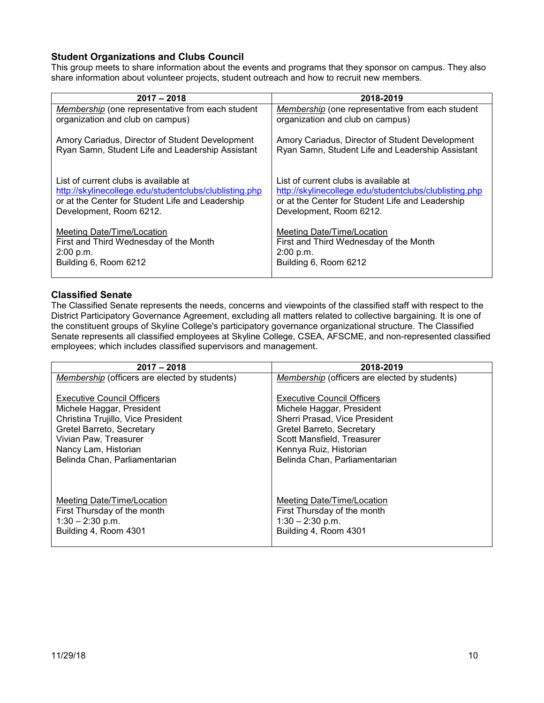### <span id="page-9-0"></span>**Student Organizations and Clubs Council**

This group meets to share information about the events and programs that they sponsor on campus. They also share information about volunteer projects, student outreach and how to recruit new members.

| $2017 - 2018$                                                                                                                                       | 2018-2019                                                                                                                                           |
|-----------------------------------------------------------------------------------------------------------------------------------------------------|-----------------------------------------------------------------------------------------------------------------------------------------------------|
| Membership (one representative from each student                                                                                                    | Membership (one representative from each student                                                                                                    |
| organization and club on campus)                                                                                                                    | organization and club on campus)                                                                                                                    |
| Amory Cariadus, Director of Student Development                                                                                                     | Amory Cariadus, Director of Student Development                                                                                                     |
| Ryan Samn, Student Life and Leadership Assistant                                                                                                    | Ryan Samn, Student Life and Leadership Assistant                                                                                                    |
| List of current clubs is available at<br>http://skylinecollege.edu/studentclubs/clublisting.php<br>or at the Center for Student Life and Leadership | List of current clubs is available at<br>http://skylinecollege.edu/studentclubs/clublisting.php<br>or at the Center for Student Life and Leadership |
| Development, Room 6212.                                                                                                                             | Development, Room 6212.                                                                                                                             |
| Meeting Date/Time/Location                                                                                                                          | <b>Meeting Date/Time/Location</b>                                                                                                                   |
| First and Third Wednesday of the Month                                                                                                              | First and Third Wednesday of the Month                                                                                                              |
| 2:00 p.m.                                                                                                                                           | 2:00 p.m.                                                                                                                                           |
| Building 6, Room 6212                                                                                                                               | Building 6, Room 6212                                                                                                                               |

#### <span id="page-9-1"></span>**Classified Senate**

The Classified Senate represents the needs, concerns and viewpoints of the classified staff with respect to the District Participatory Governance Agreement, excluding all matters related to collective bargaining. It is one of the constituent groups of Skyline College's participatory governance organizational structure. The Classified Senate represents all classified employees at Skyline College, CSEA, AFSCME, and non-represented classified employees; which includes classified supervisors and management.

| $2017 - 2018$                                        | 2018-2019                                     |
|------------------------------------------------------|-----------------------------------------------|
| <b>Membership</b> (officers are elected by students) | Membership (officers are elected by students) |
| <b>Executive Council Officers</b>                    | <b>Executive Council Officers</b>             |
| Michele Haggar, President                            | Michele Haggar, President                     |
| Christina Trujillo, Vice President                   | Sherri Prasad, Vice President                 |
| Gretel Barreto, Secretary                            | Gretel Barreto, Secretary                     |
| Vivian Paw, Treasurer                                | Scott Mansfield, Treasurer                    |
| Nancy Lam, Historian                                 | Kennya Ruiz, Historian                        |
| Belinda Chan, Parliamentarian                        | Belinda Chan, Parliamentarian                 |
| Meeting Date/Time/Location                           | <b>Meeting Date/Time/Location</b>             |
| First Thursday of the month                          | First Thursday of the month                   |
| $1:30 - 2:30$ p.m.                                   | $1:30 - 2:30$ p.m.                            |
| Building 4, Room 4301                                | Building 4, Room 4301                         |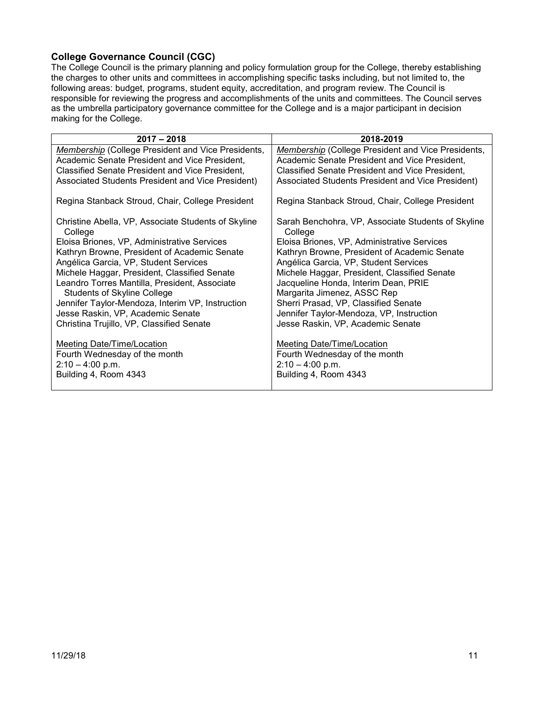### <span id="page-10-0"></span>**College Governance Council (CGC)**

The College Council is the primary planning and policy formulation group for the College, thereby establishing the charges to other units and committees in accomplishing specific tasks including, but not limited to, the following areas: budget, programs, student equity, accreditation, and program review. The Council is responsible for reviewing the progress and accomplishments of the units and committees. The Council serves as the umbrella participatory governance committee for the College and is a major participant in decision making for the College.

| $2017 - 2018$                                                  | 2018-2019                                                     |
|----------------------------------------------------------------|---------------------------------------------------------------|
| Membership (College President and Vice Presidents,             | Membership (College President and Vice Presidents,            |
| Academic Senate President and Vice President,                  | Academic Senate President and Vice President,                 |
| Classified Senate President and Vice President,                | Classified Senate President and Vice President,               |
| Associated Students President and Vice President)              | Associated Students President and Vice President)             |
| Regina Stanback Stroud, Chair, College President               | Regina Stanback Stroud, Chair, College President              |
| Christine Abella, VP, Associate Students of Skyline<br>College | Sarah Benchohra, VP, Associate Students of Skyline<br>College |
| Eloisa Briones, VP, Administrative Services                    | Eloisa Briones, VP, Administrative Services                   |
| Kathryn Browne, President of Academic Senate                   | Kathryn Browne, President of Academic Senate                  |
| Angélica Garcia, VP, Student Services                          | Angélica Garcia, VP, Student Services                         |
| Michele Haggar, President, Classified Senate                   | Michele Haggar, President, Classified Senate                  |
| Leandro Torres Mantilla, President, Associate                  | Jacqueline Honda, Interim Dean, PRIE                          |
| <b>Students of Skyline College</b>                             | Margarita Jimenez, ASSC Rep                                   |
| Jennifer Taylor-Mendoza, Interim VP, Instruction               | Sherri Prasad, VP, Classified Senate                          |
| Jesse Raskin, VP, Academic Senate                              | Jennifer Taylor-Mendoza, VP, Instruction                      |
| Christina Trujillo, VP, Classified Senate                      | Jesse Raskin, VP, Academic Senate                             |
| Meeting Date/Time/Location                                     | Meeting Date/Time/Location                                    |
| Fourth Wednesday of the month                                  | Fourth Wednesday of the month                                 |
| $2:10 - 4:00$ p.m.                                             | $2:10 - 4:00$ p.m.                                            |
| Building 4, Room 4343                                          | Building 4, Room 4343                                         |
|                                                                |                                                               |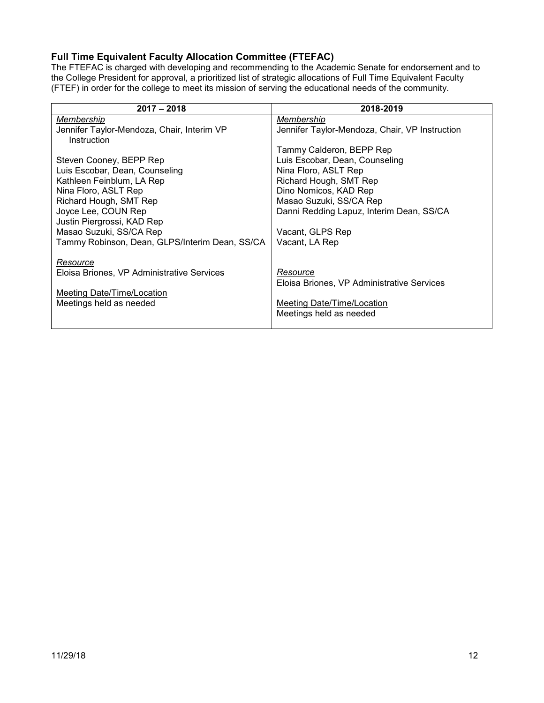# <span id="page-11-0"></span>**Full Time Equivalent Faculty Allocation Committee (FTEFAC)**

The FTEFAC is charged with developing and recommending to the Academic Senate for endorsement and to the College President for approval, a prioritized list of strategic allocations of Full Time Equivalent Faculty (FTEF) in order for the college to meet its mission of serving the educational needs of the community.

| $2017 - 2018$                                  | 2018-2019                                      |
|------------------------------------------------|------------------------------------------------|
| Membership                                     | Membership                                     |
| Jennifer Taylor-Mendoza, Chair, Interim VP     | Jennifer Taylor-Mendoza, Chair, VP Instruction |
| Instruction                                    |                                                |
|                                                | Tammy Calderon, BEPP Rep                       |
| Steven Cooney, BEPP Rep                        | Luis Escobar, Dean, Counseling                 |
| Luis Escobar, Dean, Counseling                 | Nina Floro, ASLT Rep                           |
| Kathleen Feinblum, LA Rep                      | Richard Hough, SMT Rep                         |
| Nina Floro, ASLT Rep                           | Dino Nomicos, KAD Rep                          |
| Richard Hough, SMT Rep                         | Masao Suzuki, SS/CA Rep                        |
| Joyce Lee, COUN Rep                            | Danni Redding Lapuz, Interim Dean, SS/CA       |
| Justin Piergrossi, KAD Rep                     |                                                |
| Masao Suzuki, SS/CA Rep                        | Vacant, GLPS Rep                               |
| Tammy Robinson, Dean, GLPS/Interim Dean, SS/CA | Vacant, LA Rep                                 |
|                                                |                                                |
| Resource                                       |                                                |
| Eloisa Briones, VP Administrative Services     | Resource                                       |
|                                                | Eloisa Briones, VP Administrative Services     |
| <b>Meeting Date/Time/Location</b>              |                                                |
| Meetings held as needed                        | Meeting Date/Time/Location                     |
|                                                | Meetings held as needed                        |
|                                                |                                                |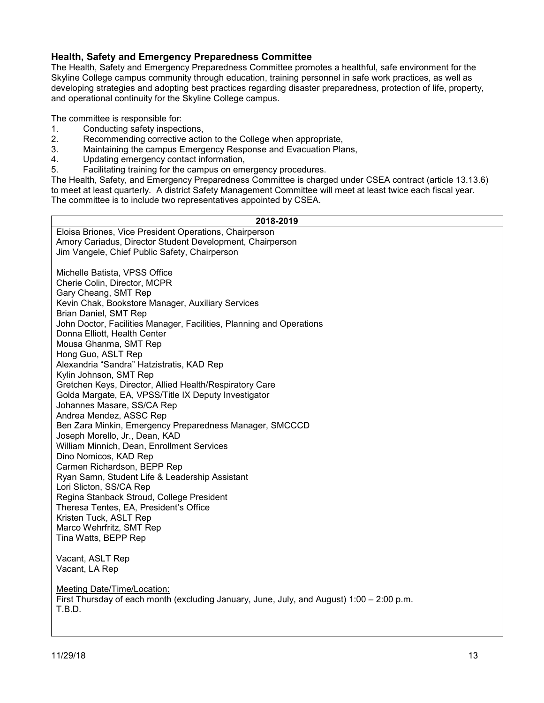#### <span id="page-12-0"></span>**Health, Safety and Emergency Preparedness Committee**

The Health, Safety and Emergency Preparedness Committee promotes a healthful, safe environment for the Skyline College campus community through education, training personnel in safe work practices, as well as developing strategies and adopting best practices regarding disaster preparedness, protection of life, property, and operational continuity for the Skyline College campus.

The committee is responsible for:

- 1. Conducting safety inspections,<br>2. Recommending corrective actional
- 2. Recommending corrective action to the College when appropriate,<br>3. Maintaining the campus Emergency Response and Evacuation Pla
- Maintaining the campus Emergency Response and Evacuation Plans,
- 4. Updating emergency contact information,<br>5. Facilitating training for the campus on eme
- Facilitating training for the campus on emergency procedures.

The Health, Safety, and Emergency Preparedness Committee is charged under CSEA contract (article 13.13.6) to meet at least quarterly. A district Safety Management Committee will meet at least twice each fiscal year. The committee is to include two representatives appointed by CSEA.

| 2018-2019                                                                                 |  |  |
|-------------------------------------------------------------------------------------------|--|--|
| Eloisa Briones, Vice President Operations, Chairperson                                    |  |  |
| Amory Cariadus, Director Student Development, Chairperson                                 |  |  |
| Jim Vangele, Chief Public Safety, Chairperson                                             |  |  |
| Michelle Batista, VPSS Office                                                             |  |  |
| Cherie Colin, Director, MCPR                                                              |  |  |
| Gary Cheang, SMT Rep                                                                      |  |  |
| Kevin Chak, Bookstore Manager, Auxiliary Services                                         |  |  |
| Brian Daniel, SMT Rep                                                                     |  |  |
| John Doctor, Facilities Manager, Facilities, Planning and Operations                      |  |  |
| Donna Elliott, Health Center                                                              |  |  |
| Mousa Ghanma, SMT Rep                                                                     |  |  |
| Hong Guo, ASLT Rep<br>Alexandria "Sandra" Hatzistratis, KAD Rep                           |  |  |
| Kylin Johnson, SMT Rep                                                                    |  |  |
| Gretchen Keys, Director, Allied Health/Respiratory Care                                   |  |  |
| Golda Margate, EA, VPSS/Title IX Deputy Investigator                                      |  |  |
| Johannes Masare, SS/CA Rep                                                                |  |  |
| Andrea Mendez, ASSC Rep                                                                   |  |  |
| Ben Zara Minkin, Emergency Preparedness Manager, SMCCCD                                   |  |  |
| Joseph Morello, Jr., Dean, KAD                                                            |  |  |
| William Minnich, Dean, Enrollment Services                                                |  |  |
| Dino Nomicos, KAD Rep                                                                     |  |  |
| Carmen Richardson, BEPP Rep<br>Ryan Samn, Student Life & Leadership Assistant             |  |  |
| Lori Slicton, SS/CA Rep                                                                   |  |  |
| Regina Stanback Stroud, College President                                                 |  |  |
| Theresa Tentes, EA, President's Office                                                    |  |  |
| Kristen Tuck, ASLT Rep                                                                    |  |  |
| Marco Wehrfritz, SMT Rep                                                                  |  |  |
| Tina Watts, BEPP Rep                                                                      |  |  |
|                                                                                           |  |  |
| Vacant, ASLT Rep                                                                          |  |  |
| Vacant, LA Rep                                                                            |  |  |
| <b>Meeting Date/Time/Location:</b>                                                        |  |  |
| First Thursday of each month (excluding January, June, July, and August) 1:00 – 2:00 p.m. |  |  |
| T.B.D.                                                                                    |  |  |
|                                                                                           |  |  |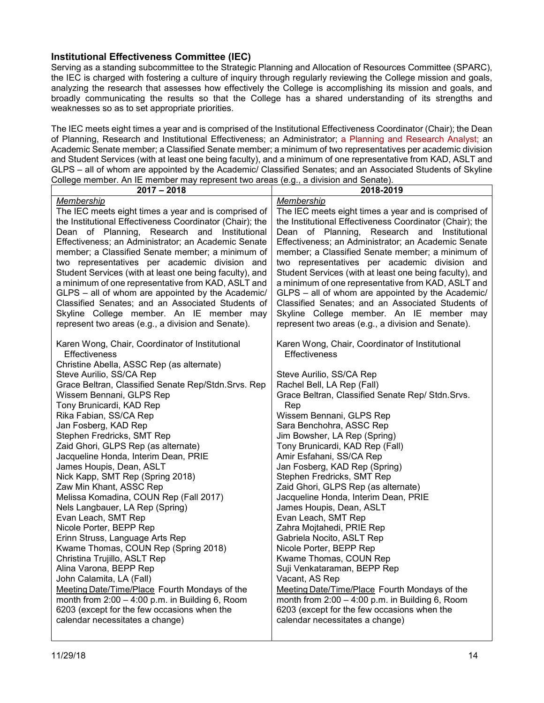#### <span id="page-13-0"></span>**Institutional Effectiveness Committee (IEC)**

Serving as a standing subcommittee to the Strategic Planning and Allocation of Resources Committee (SPARC), the IEC is charged with fostering a culture of inquiry through regularly reviewing the College mission and goals, analyzing the research that assesses how effectively the College is accomplishing its mission and goals, and broadly communicating the results so that the College has a shared understanding of its strengths and weaknesses so as to set appropriate priorities.

The IEC meets eight times a year and is comprised of the Institutional Effectiveness Coordinator (Chair); the Dean of Planning, Research and Institutional Effectiveness; an Administrator; a Planning and Research Analyst; an Academic Senate member; a Classified Senate member; a minimum of two representatives per academic division and Student Services (with at least one being faculty), and a minimum of one representative from KAD, ASLT and GLPS – all of whom are appointed by the Academic/ Classified Senates; and an Associated Students of Skyline College member. An IE member may represent two areas (e.g., a division and Senate).

| $2017 - 2018$                                                                                                                                                                                                                                                                                                                                                                                                                                                                                                                                                                                                                                                                                                                                                                                                                                                                                                                                                                                                     | 2018-2019                                                                                                                                                                                                                                                                                                                                                                                                                                                                                                                                                                                                                                                                                                                                                                                                                                                                                              |
|-------------------------------------------------------------------------------------------------------------------------------------------------------------------------------------------------------------------------------------------------------------------------------------------------------------------------------------------------------------------------------------------------------------------------------------------------------------------------------------------------------------------------------------------------------------------------------------------------------------------------------------------------------------------------------------------------------------------------------------------------------------------------------------------------------------------------------------------------------------------------------------------------------------------------------------------------------------------------------------------------------------------|--------------------------------------------------------------------------------------------------------------------------------------------------------------------------------------------------------------------------------------------------------------------------------------------------------------------------------------------------------------------------------------------------------------------------------------------------------------------------------------------------------------------------------------------------------------------------------------------------------------------------------------------------------------------------------------------------------------------------------------------------------------------------------------------------------------------------------------------------------------------------------------------------------|
| Membership<br>The IEC meets eight times a year and is comprised of<br>the Institutional Effectiveness Coordinator (Chair); the<br>Dean of Planning, Research and Institutional<br>Effectiveness; an Administrator; an Academic Senate<br>member; a Classified Senate member; a minimum of<br>two representatives per academic division and<br>Student Services (with at least one being faculty), and<br>a minimum of one representative from KAD, ASLT and<br>GLPS - all of whom are appointed by the Academic/<br>Classified Senates; and an Associated Students of<br>Skyline College member. An IE member may<br>represent two areas (e.g., a division and Senate).                                                                                                                                                                                                                                                                                                                                           | Membership<br>The IEC meets eight times a year and is comprised of<br>the Institutional Effectiveness Coordinator (Chair); the<br>Dean of Planning, Research and Institutional<br>Effectiveness; an Administrator; an Academic Senate<br>member; a Classified Senate member; a minimum of<br>two representatives per academic division and<br>Student Services (with at least one being faculty), and<br>a minimum of one representative from KAD, ASLT and<br>GLPS - all of whom are appointed by the Academic/<br>Classified Senates; and an Associated Students of<br>Skyline College member. An IE member may<br>represent two areas (e.g., a division and Senate).                                                                                                                                                                                                                                |
| Karen Wong, Chair, Coordinator of Institutional<br><b>Effectiveness</b><br>Christine Abella, ASSC Rep (as alternate)<br>Steve Aurilio, SS/CA Rep<br>Grace Beltran, Classified Senate Rep/Stdn.Srvs. Rep<br>Wissem Bennani, GLPS Rep<br>Tony Brunicardi, KAD Rep<br>Rika Fabian, SS/CA Rep<br>Jan Fosberg, KAD Rep<br>Stephen Fredricks, SMT Rep<br>Zaid Ghori, GLPS Rep (as alternate)<br>Jacqueline Honda, Interim Dean, PRIE<br>James Houpis, Dean, ASLT<br>Nick Kapp, SMT Rep (Spring 2018)<br>Zaw Min Khant, ASSC Rep<br>Melissa Komadina, COUN Rep (Fall 2017)<br>Nels Langbauer, LA Rep (Spring)<br>Evan Leach, SMT Rep<br>Nicole Porter, BEPP Rep<br>Erinn Struss, Language Arts Rep<br>Kwame Thomas, COUN Rep (Spring 2018)<br>Christina Trujillo, ASLT Rep<br>Alina Varona, BEPP Rep<br>John Calamita, LA (Fall)<br>Meeting Date/Time/Place Fourth Mondays of the<br>month from $2:00 - 4:00$ p.m. in Building 6, Room<br>6203 (except for the few occasions when the<br>calendar necessitates a change) | Karen Wong, Chair, Coordinator of Institutional<br>Effectiveness<br>Steve Aurilio, SS/CA Rep<br>Rachel Bell, LA Rep (Fall)<br>Grace Beltran, Classified Senate Rep/ Stdn. Srvs.<br>Rep<br>Wissem Bennani, GLPS Rep<br>Sara Benchohra, ASSC Rep<br>Jim Bowsher, LA Rep (Spring)<br>Tony Brunicardi, KAD Rep (Fall)<br>Amir Esfahani, SS/CA Rep<br>Jan Fosberg, KAD Rep (Spring)<br>Stephen Fredricks, SMT Rep<br>Zaid Ghori, GLPS Rep (as alternate)<br>Jacqueline Honda, Interim Dean, PRIE<br>James Houpis, Dean, ASLT<br>Evan Leach, SMT Rep<br>Zahra Mojtahedi, PRIE Rep<br>Gabriela Nocito, ASLT Rep<br>Nicole Porter, BEPP Rep<br>Kwame Thomas, COUN Rep<br>Suji Venkataraman, BEPP Rep<br>Vacant, AS Rep<br>Meeting Date/Time/Place Fourth Mondays of the<br>month from $2:00 - 4:00$ p.m. in Building 6, Room<br>6203 (except for the few occasions when the<br>calendar necessitates a change) |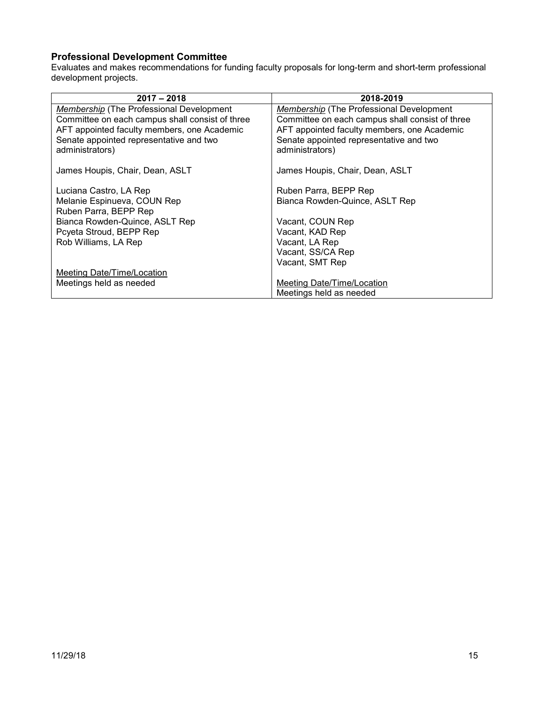# <span id="page-14-0"></span>**Professional Development Committee**

Evaluates and makes recommendations for funding faculty proposals for long-term and short-term professional development projects.

| $2017 - 2018$                                   | 2018-2019                                       |
|-------------------------------------------------|-------------------------------------------------|
| <b>Membership</b> (The Professional Development | <b>Membership</b> (The Professional Development |
| Committee on each campus shall consist of three | Committee on each campus shall consist of three |
| AFT appointed faculty members, one Academic     | AFT appointed faculty members, one Academic     |
| Senate appointed representative and two         | Senate appointed representative and two         |
| administrators)                                 | administrators)                                 |
|                                                 |                                                 |
| James Houpis, Chair, Dean, ASLT                 | James Houpis, Chair, Dean, ASLT                 |
|                                                 |                                                 |
| Luciana Castro, LA Rep                          | Ruben Parra, BEPP Rep                           |
| Melanie Espinueva, COUN Rep                     | Bianca Rowden-Quince, ASLT Rep                  |
| Ruben Parra, BEPP Rep                           |                                                 |
| Bianca Rowden-Quince, ASLT Rep                  | Vacant, COUN Rep                                |
| Pcyeta Stroud, BEPP Rep                         | Vacant, KAD Rep                                 |
| Rob Williams, LA Rep                            | Vacant, LA Rep                                  |
|                                                 | Vacant, SS/CA Rep                               |
|                                                 | Vacant, SMT Rep                                 |
| Meeting Date/Time/Location                      |                                                 |
| Meetings held as needed                         | Meeting Date/Time/Location                      |
|                                                 | Meetings held as needed                         |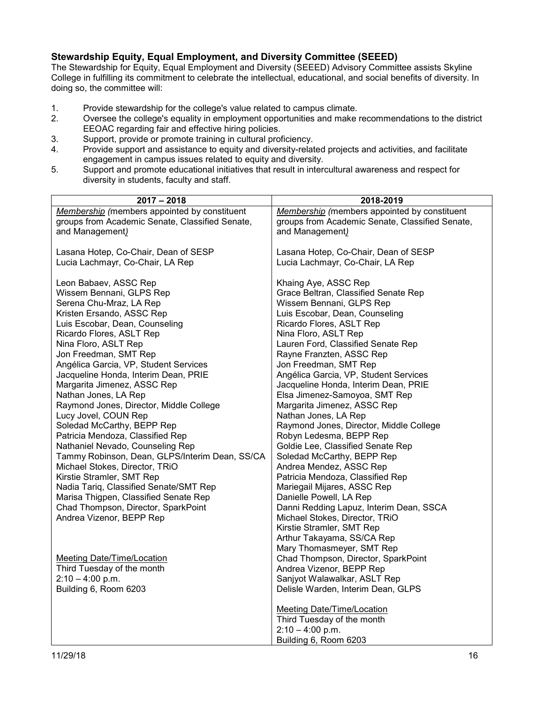### <span id="page-15-0"></span>**Stewardship Equity, Equal Employment, and Diversity Committee (SEEED)**

The Stewardship for Equity, Equal Employment and Diversity (SEEED) Advisory Committee assists Skyline College in fulfilling its commitment to celebrate the intellectual, educational, and social benefits of diversity. In doing so, the committee will:

- 1. Provide stewardship for the college's value related to campus climate.<br>2. Oversee the college's equality in employment opportunities and make
- 2. Oversee the college's equality in employment opportunities and make recommendations to the district EEOAC regarding fair and effective hiring policies.
- 3. Support, provide or promote training in cultural proficiency.
- 4. Provide support and assistance to equity and diversity-related projects and activities, and facilitate engagement in campus issues related to equity and diversity.
- 5. Support and promote educational initiatives that result in intercultural awareness and respect for diversity in students, faculty and staff.

| $2017 - 2018$                                   | 2018-2019                                           |
|-------------------------------------------------|-----------------------------------------------------|
| Membership (members appointed by constituent    | <b>Membership</b> (members appointed by constituent |
| groups from Academic Senate, Classified Senate, | groups from Academic Senate, Classified Senate,     |
| and Management)                                 | and Management)                                     |
|                                                 |                                                     |
| Lasana Hotep, Co-Chair, Dean of SESP            | Lasana Hotep, Co-Chair, Dean of SESP                |
| Lucia Lachmayr, Co-Chair, LA Rep                | Lucia Lachmayr, Co-Chair, LA Rep                    |
|                                                 |                                                     |
| Leon Babaev, ASSC Rep                           | Khaing Aye, ASSC Rep                                |
| Wissem Bennani, GLPS Rep                        | Grace Beltran, Classified Senate Rep                |
| Serena Chu-Mraz, LA Rep                         | Wissem Bennani, GLPS Rep                            |
| Kristen Ersando, ASSC Rep                       | Luis Escobar, Dean, Counseling                      |
| Luis Escobar, Dean, Counseling                  | Ricardo Flores, ASLT Rep                            |
| Ricardo Flores, ASLT Rep                        | Nina Floro, ASLT Rep                                |
| Nina Floro, ASLT Rep                            | Lauren Ford, Classified Senate Rep                  |
| Jon Freedman, SMT Rep                           | Rayne Franzten, ASSC Rep                            |
| Angélica Garcia, VP, Student Services           | Jon Freedman, SMT Rep                               |
| Jacqueline Honda, Interim Dean, PRIE            | Angélica Garcia, VP, Student Services               |
| Margarita Jimenez, ASSC Rep                     | Jacqueline Honda, Interim Dean, PRIE                |
| Nathan Jones, LA Rep                            | Elsa Jimenez-Samoyoa, SMT Rep                       |
| Raymond Jones, Director, Middle College         | Margarita Jimenez, ASSC Rep                         |
| Lucy Jovel, COUN Rep                            | Nathan Jones, LA Rep                                |
| Soledad McCarthy, BEPP Rep                      | Raymond Jones, Director, Middle College             |
| Patricia Mendoza, Classified Rep                | Robyn Ledesma, BEPP Rep                             |
| Nathaniel Nevado, Counseling Rep                | Goldie Lee, Classified Senate Rep                   |
| Tammy Robinson, Dean, GLPS/Interim Dean, SS/CA  | Soledad McCarthy, BEPP Rep                          |
| Michael Stokes, Director, TRiO                  | Andrea Mendez, ASSC Rep                             |
| Kirstie Stramler, SMT Rep                       | Patricia Mendoza, Classified Rep                    |
| Nadia Tariq, Classified Senate/SMT Rep          | Mariegail Mijares, ASSC Rep                         |
| Marisa Thigpen, Classified Senate Rep           | Danielle Powell, LA Rep                             |
| Chad Thompson, Director, SparkPoint             | Danni Redding Lapuz, Interim Dean, SSCA             |
| Andrea Vizenor, BEPP Rep                        | Michael Stokes, Director, TRiO                      |
|                                                 | Kirstie Stramler, SMT Rep                           |
|                                                 | Arthur Takayama, SS/CA Rep                          |
|                                                 | Mary Thomasmeyer, SMT Rep                           |
| <b>Meeting Date/Time/Location</b>               | Chad Thompson, Director, SparkPoint                 |
| Third Tuesday of the month                      | Andrea Vizenor, BEPP Rep                            |
| $2:10 - 4:00$ p.m.                              | Sanjyot Walawalkar, ASLT Rep                        |
| Building 6, Room 6203                           | Delisle Warden, Interim Dean, GLPS                  |
|                                                 |                                                     |
|                                                 | <b>Meeting Date/Time/Location</b>                   |
|                                                 | Third Tuesday of the month<br>$2:10 - 4:00$ p.m.    |
|                                                 |                                                     |
|                                                 | Building 6, Room 6203                               |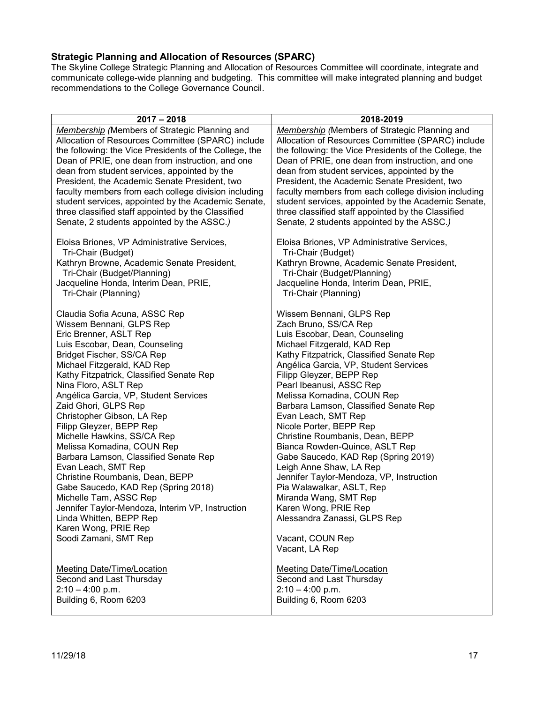### <span id="page-16-0"></span>**Strategic Planning and Allocation of Resources (SPARC)**

The Skyline College Strategic Planning and Allocation of Resources Committee will coordinate, integrate and communicate college-wide planning and budgeting. This committee will make integrated planning and budget recommendations to the College Governance Council.

| $2017 - 2018$                                          | 2018-2019                                              |
|--------------------------------------------------------|--------------------------------------------------------|
| Membership (Members of Strategic Planning and          | Membership (Members of Strategic Planning and          |
| Allocation of Resources Committee (SPARC) include      | Allocation of Resources Committee (SPARC) include      |
| the following: the Vice Presidents of the College, the | the following: the Vice Presidents of the College, the |
| Dean of PRIE, one dean from instruction, and one       | Dean of PRIE, one dean from instruction, and one       |
| dean from student services, appointed by the           | dean from student services, appointed by the           |
| President, the Academic Senate President, two          | President, the Academic Senate President, two          |
| faculty members from each college division including   | faculty members from each college division including   |
| student services, appointed by the Academic Senate,    | student services, appointed by the Academic Senate,    |
| three classified staff appointed by the Classified     | three classified staff appointed by the Classified     |
| Senate, 2 students appointed by the ASSC.)             | Senate, 2 students appointed by the ASSC.)             |
| Eloisa Briones, VP Administrative Services,            | Eloisa Briones, VP Administrative Services,            |
| Tri-Chair (Budget)                                     | Tri-Chair (Budget)                                     |
| Kathryn Browne, Academic Senate President,             | Kathryn Browne, Academic Senate President,             |
| Tri-Chair (Budget/Planning)                            | Tri-Chair (Budget/Planning)                            |
| Jacqueline Honda, Interim Dean, PRIE,                  | Jacqueline Honda, Interim Dean, PRIE,                  |
| Tri-Chair (Planning)                                   | Tri-Chair (Planning)                                   |
| Claudia Sofia Acuna, ASSC Rep                          | Wissem Bennani, GLPS Rep                               |
| Wissem Bennani, GLPS Rep                               | Zach Bruno, SS/CA Rep                                  |
| Eric Brenner, ASLT Rep                                 | Luis Escobar, Dean, Counseling                         |
| Luis Escobar, Dean, Counseling                         | Michael Fitzgerald, KAD Rep                            |
| Bridget Fischer, SS/CA Rep                             | Kathy Fitzpatrick, Classified Senate Rep               |
| Michael Fitzgerald, KAD Rep                            | Angélica Garcia, VP, Student Services                  |
| Kathy Fitzpatrick, Classified Senate Rep               | Filipp Gleyzer, BEPP Rep                               |
| Nina Floro, ASLT Rep                                   | Pearl Ibeanusi, ASSC Rep                               |
| Angélica Garcia, VP, Student Services                  | Melissa Komadina, COUN Rep                             |
| Zaid Ghori, GLPS Rep                                   | Barbara Lamson, Classified Senate Rep                  |
| Christopher Gibson, LA Rep                             | Evan Leach, SMT Rep                                    |
| Filipp Gleyzer, BEPP Rep                               | Nicole Porter, BEPP Rep                                |
| Michelle Hawkins, SS/CA Rep                            | Christine Roumbanis, Dean, BEPP                        |
| Melissa Komadina, COUN Rep                             | Bianca Rowden-Quince, ASLT Rep                         |
| Barbara Lamson, Classified Senate Rep                  | Gabe Saucedo, KAD Rep (Spring 2019)                    |
| Evan Leach, SMT Rep                                    | Leigh Anne Shaw, LA Rep                                |
| Christine Roumbanis, Dean, BEPP                        | Jennifer Taylor-Mendoza, VP, Instruction               |
| Gabe Saucedo, KAD Rep (Spring 2018)                    | Pia Walawalkar, ASLT, Rep                              |
| Michelle Tam, ASSC Rep                                 | Miranda Wang, SMT Rep                                  |
| Jennifer Taylor-Mendoza, Interim VP, Instruction       | Karen Wong, PRIE Rep                                   |
| Linda Whitten, BEPP Rep                                | Alessandra Zanassi, GLPS Rep                           |
| Karen Wong, PRIE Rep                                   | Vacant, COUN Rep                                       |
| Soodi Zamani, SMT Rep                                  | Vacant, LA Rep                                         |
| Meeting Date/Time/Location                             | <b>Meeting Date/Time/Location</b>                      |
| Second and Last Thursday                               | Second and Last Thursday                               |
| $2:10 - 4:00$ p.m.                                     | $2:10 - 4:00$ p.m.                                     |
| Building 6, Room 6203                                  | Building 6, Room 6203                                  |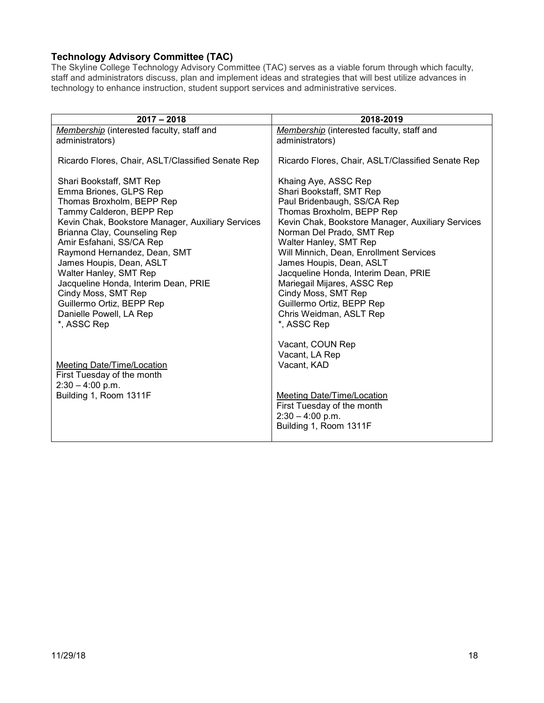# <span id="page-17-0"></span>**Technology Advisory Committee (TAC)**

The Skyline College Technology Advisory Committee (TAC) serves as a viable forum through which faculty, staff and administrators discuss, plan and implement ideas and strategies that will best utilize advances in technology to enhance instruction, student support services and administrative services.

| $2017 - 2018$                                                                                                                                                                                                                                                                                                                                                                                                                                            | 2018-2019                                                                                                                                                                                                                                                                                                                                                                                                                                                            |
|----------------------------------------------------------------------------------------------------------------------------------------------------------------------------------------------------------------------------------------------------------------------------------------------------------------------------------------------------------------------------------------------------------------------------------------------------------|----------------------------------------------------------------------------------------------------------------------------------------------------------------------------------------------------------------------------------------------------------------------------------------------------------------------------------------------------------------------------------------------------------------------------------------------------------------------|
| Membership (interested faculty, staff and<br>administrators)                                                                                                                                                                                                                                                                                                                                                                                             | Membership (interested faculty, staff and<br>administrators)                                                                                                                                                                                                                                                                                                                                                                                                         |
| Ricardo Flores, Chair, ASLT/Classified Senate Rep                                                                                                                                                                                                                                                                                                                                                                                                        | Ricardo Flores, Chair, ASLT/Classified Senate Rep                                                                                                                                                                                                                                                                                                                                                                                                                    |
| Shari Bookstaff, SMT Rep<br>Emma Briones, GLPS Rep<br>Thomas Broxholm, BEPP Rep<br>Tammy Calderon, BEPP Rep<br>Kevin Chak, Bookstore Manager, Auxiliary Services<br>Brianna Clay, Counseling Rep<br>Amir Esfahani, SS/CA Rep<br>Raymond Hernandez, Dean, SMT<br>James Houpis, Dean, ASLT<br>Walter Hanley, SMT Rep<br>Jacqueline Honda, Interim Dean, PRIE<br>Cindy Moss, SMT Rep<br>Guillermo Ortiz, BEPP Rep<br>Danielle Powell, LA Rep<br>*, ASSC Rep | Khaing Aye, ASSC Rep<br>Shari Bookstaff, SMT Rep<br>Paul Bridenbaugh, SS/CA Rep<br>Thomas Broxholm, BEPP Rep<br>Kevin Chak, Bookstore Manager, Auxiliary Services<br>Norman Del Prado, SMT Rep<br>Walter Hanley, SMT Rep<br>Will Minnich, Dean, Enrollment Services<br>James Houpis, Dean, ASLT<br>Jacqueline Honda, Interim Dean, PRIE<br>Mariegail Mijares, ASSC Rep<br>Cindy Moss, SMT Rep<br>Guillermo Ortiz, BEPP Rep<br>Chris Weidman, ASLT Rep<br>*, ASSC Rep |
| <b>Meeting Date/Time/Location</b><br>First Tuesday of the month<br>$2:30 - 4:00$ p.m.<br>Building 1, Room 1311F                                                                                                                                                                                                                                                                                                                                          | Vacant, COUN Rep<br>Vacant, LA Rep<br>Vacant, KAD<br>Meeting Date/Time/Location<br>First Tuesday of the month<br>$2:30 - 4:00$ p.m.<br>Building 1, Room 1311F                                                                                                                                                                                                                                                                                                        |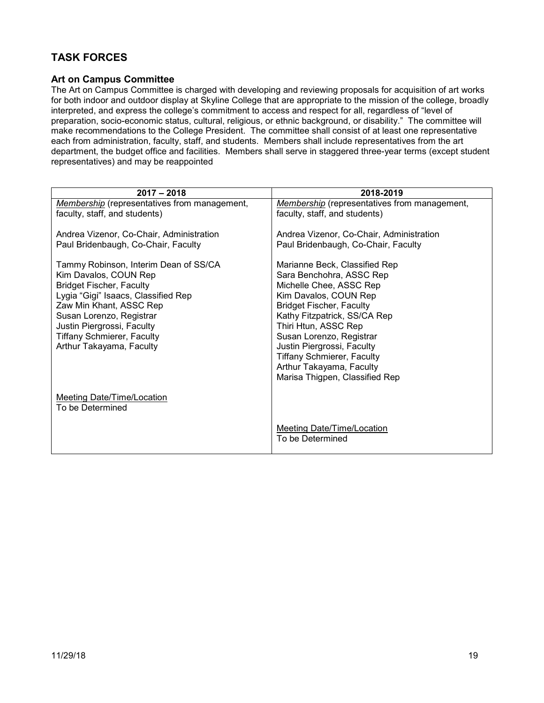# <span id="page-18-0"></span>**TASK FORCES**

#### <span id="page-18-1"></span>**Art on Campus Committee**

The Art on Campus Committee is charged with developing and reviewing proposals for acquisition of art works for both indoor and outdoor display at Skyline College that are appropriate to the mission of the college, broadly interpreted, and express the college's commitment to access and respect for all, regardless of "level of preparation, socio-economic status, cultural, religious, or ethnic background, or disability." The committee will make recommendations to the College President. The committee shall consist of at least one representative each from administration, faculty, staff, and students. Members shall include representatives from the art department, the budget office and facilities. Members shall serve in staggered three-year terms (except student representatives) and may be reappointed

| $2017 - 2018$                                                                                                                                                                                                                                                                                  | 2018-2019                                                                                                                                                                                                                                                                                                                                                             |
|------------------------------------------------------------------------------------------------------------------------------------------------------------------------------------------------------------------------------------------------------------------------------------------------|-----------------------------------------------------------------------------------------------------------------------------------------------------------------------------------------------------------------------------------------------------------------------------------------------------------------------------------------------------------------------|
| <b>Membership</b> (representatives from management,                                                                                                                                                                                                                                            | <b>Membership</b> (representatives from management,                                                                                                                                                                                                                                                                                                                   |
| faculty, staff, and students)                                                                                                                                                                                                                                                                  | faculty, staff, and students)                                                                                                                                                                                                                                                                                                                                         |
|                                                                                                                                                                                                                                                                                                |                                                                                                                                                                                                                                                                                                                                                                       |
| Andrea Vizenor, Co-Chair, Administration                                                                                                                                                                                                                                                       | Andrea Vizenor, Co-Chair, Administration                                                                                                                                                                                                                                                                                                                              |
| Paul Bridenbaugh, Co-Chair, Faculty                                                                                                                                                                                                                                                            | Paul Bridenbaugh, Co-Chair, Faculty                                                                                                                                                                                                                                                                                                                                   |
| Tammy Robinson, Interim Dean of SS/CA<br>Kim Davalos, COUN Rep<br><b>Bridget Fischer, Faculty</b><br>Lygia "Gigi" Isaacs, Classified Rep<br>Zaw Min Khant, ASSC Rep<br>Susan Lorenzo, Registrar<br>Justin Piergrossi, Faculty<br><b>Tiffany Schmierer, Faculty</b><br>Arthur Takayama, Faculty | Marianne Beck, Classified Rep<br>Sara Benchohra, ASSC Rep<br>Michelle Chee, ASSC Rep<br>Kim Davalos, COUN Rep<br><b>Bridget Fischer, Faculty</b><br>Kathy Fitzpatrick, SS/CA Rep<br>Thiri Htun, ASSC Rep<br>Susan Lorenzo, Registrar<br>Justin Piergrossi, Faculty<br><b>Tiffany Schmierer, Faculty</b><br>Arthur Takayama, Faculty<br>Marisa Thigpen, Classified Rep |
| <b>Meeting Date/Time/Location</b><br>To be Determined                                                                                                                                                                                                                                          |                                                                                                                                                                                                                                                                                                                                                                       |
|                                                                                                                                                                                                                                                                                                | <b>Meeting Date/Time/Location</b><br>To be Determined                                                                                                                                                                                                                                                                                                                 |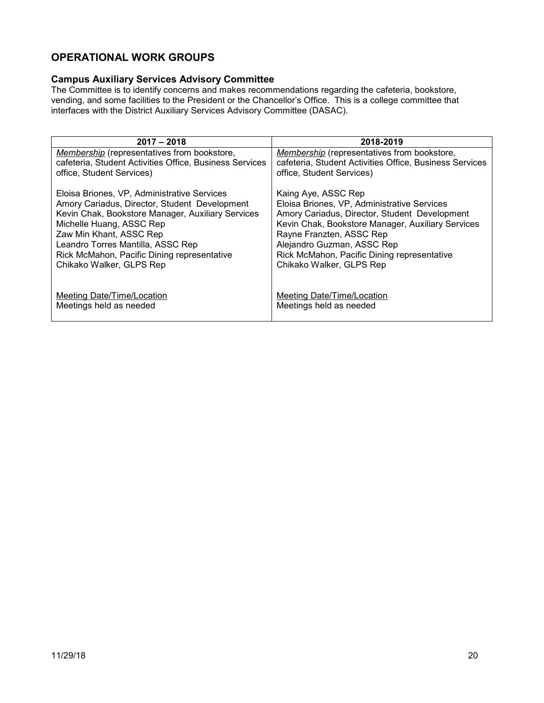# <span id="page-19-0"></span>**OPERATIONAL WORK GROUPS**

### <span id="page-19-1"></span>**Campus Auxiliary Services Advisory Committee**

The Committee is to identify concerns and makes recommendations regarding the cafeteria, bookstore, vending, and some facilities to the President or the Chancellor's Office. This is a college committee that interfaces with the District Auxiliary Services Advisory Committee (DASAC).

| $2017 - 2018$                                           | 2018-2019                                               |
|---------------------------------------------------------|---------------------------------------------------------|
| <b>Membership</b> (representatives from bookstore,      | <b>Membership</b> (representatives from bookstore,      |
| cafeteria, Student Activities Office, Business Services | cafeteria, Student Activities Office, Business Services |
| office, Student Services)                               | office, Student Services)                               |
| Eloisa Briones, VP, Administrative Services             | Kaing Aye, ASSC Rep                                     |
| Amory Cariadus, Director, Student Development           | Eloisa Briones, VP, Administrative Services             |
| Kevin Chak, Bookstore Manager, Auxiliary Services       | Amory Cariadus, Director, Student Development           |
| Michelle Huang, ASSC Rep                                | Kevin Chak, Bookstore Manager, Auxiliary Services       |
| Zaw Min Khant, ASSC Rep                                 | Rayne Franzten, ASSC Rep                                |
| Leandro Torres Mantilla, ASSC Rep                       | Alejandro Guzman, ASSC Rep                              |
| Rick McMahon, Pacific Dining representative             | Rick McMahon, Pacific Dining representative             |
| Chikako Walker, GLPS Rep                                | Chikako Walker, GLPS Rep                                |
| <b>Meeting Date/Time/Location</b>                       | Meeting Date/Time/Location                              |
| Meetings held as needed                                 | Meetings held as needed                                 |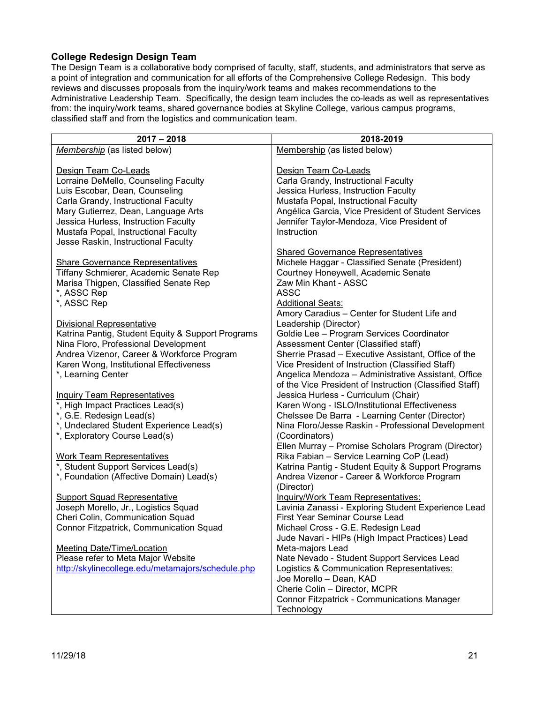### <span id="page-20-0"></span>**College Redesign Design Team**

The Design Team is a collaborative body comprised of faculty, staff, students, and administrators that serve as a point of integration and communication for all efforts of the Comprehensive College Redesign. This body reviews and discusses proposals from the inquiry/work teams and makes recommendations to the Administrative Leadership Team. Specifically, the design team includes the co-leads as well as representatives from: the inquiry/work teams, shared governance bodies at Skyline College, various campus programs, classified staff and from the logistics and communication team.

| $2017 - 2018$                                     | 2018-2019                                               |
|---------------------------------------------------|---------------------------------------------------------|
| Membership (as listed below)                      | Membership (as listed below)                            |
|                                                   |                                                         |
| Design Team Co-Leads                              | Design Team Co-Leads                                    |
| Lorraine DeMello, Counseling Faculty              | Carla Grandy, Instructional Faculty                     |
| Luis Escobar, Dean, Counseling                    | Jessica Hurless, Instruction Faculty                    |
| Carla Grandy, Instructional Faculty               | Mustafa Popal, Instructional Faculty                    |
| Mary Gutierrez, Dean, Language Arts               | Angélica Garcia, Vice President of Student Services     |
| Jessica Hurless, Instruction Faculty              | Jennifer Taylor-Mendoza, Vice President of              |
| Mustafa Popal, Instructional Faculty              | Instruction                                             |
| Jesse Raskin, Instructional Faculty               |                                                         |
|                                                   | <b>Shared Governance Representatives</b>                |
| <b>Share Governance Representatives</b>           | Michele Haggar - Classified Senate (President)          |
| Tiffany Schmierer, Academic Senate Rep            | Courtney Honeywell, Academic Senate                     |
| Marisa Thigpen, Classified Senate Rep             | Zaw Min Khant - ASSC                                    |
| *, ASSC Rep                                       | <b>ASSC</b>                                             |
|                                                   |                                                         |
| *, ASSC Rep                                       | <b>Additional Seats:</b>                                |
|                                                   | Amory Caradius - Center for Student Life and            |
| <b>Divisional Representative</b>                  | Leadership (Director)                                   |
| Katrina Pantig, Student Equity & Support Programs | Goldie Lee - Program Services Coordinator               |
| Nina Floro, Professional Development              | Assessment Center (Classified staff)                    |
| Andrea Vizenor, Career & Workforce Program        | Sherrie Prasad - Executive Assistant, Office of the     |
| Karen Wong, Institutional Effectiveness           | Vice President of Instruction (Classified Staff)        |
| *, Learning Center                                | Angelica Mendoza - Administrative Assistant, Office     |
|                                                   | of the Vice President of Instruction (Classified Staff) |
| <b>Inquiry Team Representatives</b>               | Jessica Hurless - Curriculum (Chair)                    |
| *, High Impact Practices Lead(s)                  | Karen Wong - ISLO/Institutional Effectiveness           |
| *, G.E. Redesign Lead(s)                          | Chelssee De Barra - Learning Center (Director)          |
| *, Undeclared Student Experience Lead(s)          | Nina Floro/Jesse Raskin - Professional Development      |
| *, Exploratory Course Lead(s)                     | (Coordinators)                                          |
|                                                   | Ellen Murray - Promise Scholars Program (Director)      |
| <b>Work Team Representatives</b>                  | Rika Fabian - Service Learning CoP (Lead)               |
| *, Student Support Services Lead(s)               | Katrina Pantig - Student Equity & Support Programs      |
| *, Foundation (Affective Domain) Lead(s)          | Andrea Vizenor - Career & Workforce Program             |
|                                                   | (Director)                                              |
| <b>Support Squad Representative</b>               | Inquiry/Work Team Representatives:                      |
| Joseph Morello, Jr., Logistics Squad              | Lavinia Zanassi - Exploring Student Experience Lead     |
| Cheri Colin, Communication Squad                  | First Year Seminar Course Lead                          |
| Connor Fitzpatrick, Communication Squad           | Michael Cross - G.E. Redesign Lead                      |
|                                                   | Jude Navari - HIPs (High Impact Practices) Lead         |
| <b>Meeting Date/Time/Location</b>                 | Meta-majors Lead                                        |
| Please refer to Meta Major Website                | Nate Nevado - Student Support Services Lead             |
| http://skylinecollege.edu/metamajors/schedule.php | <b>Logistics &amp; Communication Representatives:</b>   |
|                                                   | Joe Morello - Dean, KAD                                 |
|                                                   | Cherie Colin - Director, MCPR                           |
|                                                   | Connor Fitzpatrick - Communications Manager             |
|                                                   | Technology                                              |
|                                                   |                                                         |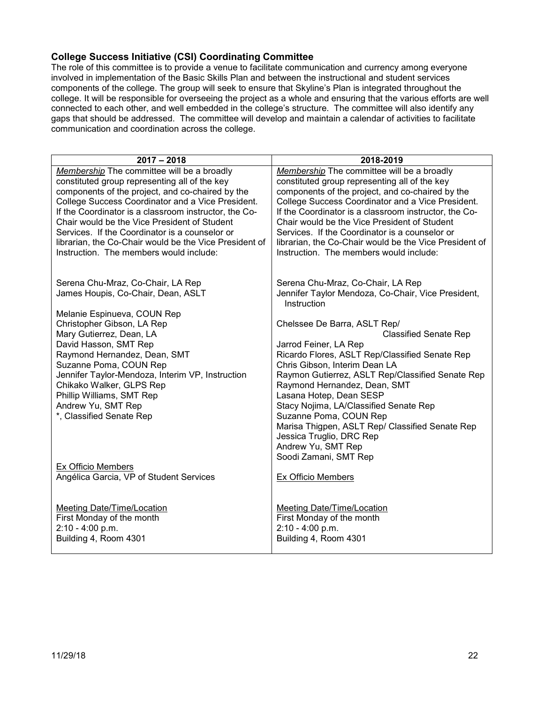#### <span id="page-21-0"></span>**College Success Initiative (CSI) Coordinating Committee**

The role of this committee is to provide a venue to facilitate communication and currency among everyone involved in implementation of the Basic Skills Plan and between the instructional and student services components of the college. The group will seek to ensure that Skyline's Plan is integrated throughout the college. It will be responsible for overseeing the project as a whole and ensuring that the various efforts are well connected to each other, and well embedded in the college's structure. The committee will also identify any gaps that should be addressed. The committee will develop and maintain a calendar of activities to facilitate communication and coordination across the college.

| $2017 - 2018$                                          | 2018-2019                                                         |
|--------------------------------------------------------|-------------------------------------------------------------------|
| Membership The committee will be a broadly             | Membership The committee will be a broadly                        |
| constituted group representing all of the key          | constituted group representing all of the key                     |
| components of the project, and co-chaired by the       | components of the project, and co-chaired by the                  |
| College Success Coordinator and a Vice President.      | College Success Coordinator and a Vice President.                 |
| If the Coordinator is a classroom instructor, the Co-  | If the Coordinator is a classroom instructor, the Co-             |
| Chair would be the Vice President of Student           | Chair would be the Vice President of Student                      |
| Services. If the Coordinator is a counselor or         | Services. If the Coordinator is a counselor or                    |
| librarian, the Co-Chair would be the Vice President of | librarian, the Co-Chair would be the Vice President of            |
| Instruction. The members would include:                | Instruction. The members would include:                           |
|                                                        |                                                                   |
| Serena Chu-Mraz, Co-Chair, LA Rep                      | Serena Chu-Mraz, Co-Chair, LA Rep                                 |
| James Houpis, Co-Chair, Dean, ASLT                     | Jennifer Taylor Mendoza, Co-Chair, Vice President,<br>Instruction |
| Melanie Espinueva, COUN Rep                            |                                                                   |
| Christopher Gibson, LA Rep                             | Chelssee De Barra, ASLT Rep/                                      |
| Mary Gutierrez, Dean, LA                               | <b>Classified Senate Rep</b>                                      |
| David Hasson, SMT Rep                                  | Jarrod Feiner, LA Rep                                             |
| Raymond Hernandez, Dean, SMT                           | Ricardo Flores, ASLT Rep/Classified Senate Rep                    |
| Suzanne Poma, COUN Rep                                 | Chris Gibson, Interim Dean LA                                     |
| Jennifer Taylor-Mendoza, Interim VP, Instruction       | Raymon Gutierrez, ASLT Rep/Classified Senate Rep                  |
| Chikako Walker, GLPS Rep<br>Phillip Williams, SMT Rep  | Raymond Hernandez, Dean, SMT<br>Lasana Hotep, Dean SESP           |
| Andrew Yu, SMT Rep                                     | Stacy Nojima, LA/Classified Senate Rep                            |
| *, Classified Senate Rep                               | Suzanne Poma, COUN Rep                                            |
|                                                        | Marisa Thigpen, ASLT Rep/ Classified Senate Rep                   |
|                                                        | Jessica Truglio, DRC Rep                                          |
|                                                        | Andrew Yu, SMT Rep                                                |
|                                                        | Soodi Zamani, SMT Rep                                             |
| Ex Officio Members                                     |                                                                   |
| Angélica Garcia, VP of Student Services                | Ex Officio Members                                                |
|                                                        |                                                                   |
| Meeting Date/Time/Location                             | Meeting Date/Time/Location                                        |
| First Monday of the month                              | First Monday of the month                                         |
| $2:10 - 4:00$ p.m.                                     | 2:10 - 4:00 p.m.                                                  |
| Building 4, Room 4301                                  | Building 4, Room 4301                                             |
|                                                        |                                                                   |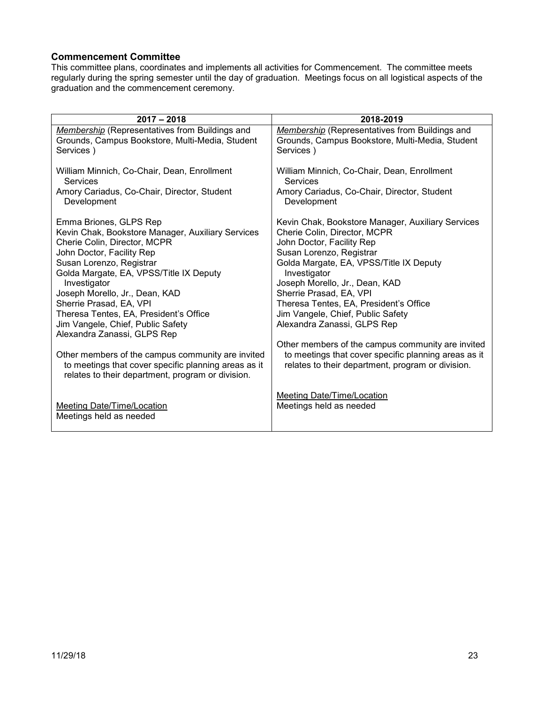#### <span id="page-22-0"></span>**Commencement Committee**

This committee plans, coordinates and implements all activities for Commencement. The committee meets regularly during the spring semester until the day of graduation. Meetings focus on all logistical aspects of the graduation and the commencement ceremony.

| $2017 - 2018$                                         | 2018-2019                                             |
|-------------------------------------------------------|-------------------------------------------------------|
| <b>Membership</b> (Representatives from Buildings and | <b>Membership</b> (Representatives from Buildings and |
| Grounds, Campus Bookstore, Multi-Media, Student       | Grounds, Campus Bookstore, Multi-Media, Student       |
| Services)                                             | Services)                                             |
| William Minnich, Co-Chair, Dean, Enrollment           | William Minnich, Co-Chair, Dean, Enrollment           |
| <b>Services</b>                                       | Services                                              |
| Amory Cariadus, Co-Chair, Director, Student           | Amory Cariadus, Co-Chair, Director, Student           |
| Development                                           | Development                                           |
| Emma Briones, GLPS Rep                                | Kevin Chak, Bookstore Manager, Auxiliary Services     |
| Kevin Chak, Bookstore Manager, Auxiliary Services     | Cherie Colin, Director, MCPR                          |
| Cherie Colin, Director, MCPR                          | John Doctor, Facility Rep                             |
| John Doctor, Facility Rep                             | Susan Lorenzo, Registrar                              |
| Susan Lorenzo, Registrar                              | Golda Margate, EA, VPSS/Title IX Deputy               |
| Golda Margate, EA, VPSS/Title IX Deputy               | Investigator                                          |
| Investigator                                          | Joseph Morello, Jr., Dean, KAD                        |
| Joseph Morello, Jr., Dean, KAD                        | Sherrie Prasad, EA, VPI                               |
| Sherrie Prasad, EA, VPI                               | Theresa Tentes, EA, President's Office                |
| Theresa Tentes, EA, President's Office                | Jim Vangele, Chief, Public Safety                     |
| Jim Vangele, Chief, Public Safety                     | Alexandra Zanassi, GLPS Rep                           |
| Alexandra Zanassi, GLPS Rep                           |                                                       |
| Other members of the campus community are invited     | Other members of the campus community are invited     |
| to meetings that cover specific planning areas as it  | to meetings that cover specific planning areas as it  |
| relates to their department, program or division.     | relates to their department, program or division.     |
| Meeting Date/Time/Location                            | Meeting Date/Time/Location                            |
| Meetings held as needed                               | Meetings held as needed                               |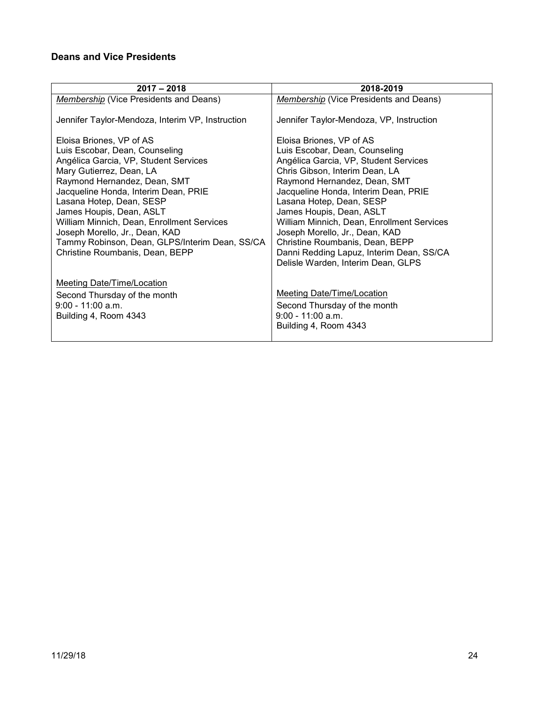# <span id="page-23-0"></span>**Deans and Vice Presidents**

| $2017 - 2018$                                                                                                                                                                                                                                                                                                                                                                                                                        | 2018-2019                                                                                                                                                                                                                                                                                                                                                                                                                                                                  |
|--------------------------------------------------------------------------------------------------------------------------------------------------------------------------------------------------------------------------------------------------------------------------------------------------------------------------------------------------------------------------------------------------------------------------------------|----------------------------------------------------------------------------------------------------------------------------------------------------------------------------------------------------------------------------------------------------------------------------------------------------------------------------------------------------------------------------------------------------------------------------------------------------------------------------|
| Membership (Vice Presidents and Deans)                                                                                                                                                                                                                                                                                                                                                                                               | Membership (Vice Presidents and Deans)                                                                                                                                                                                                                                                                                                                                                                                                                                     |
| Jennifer Taylor-Mendoza, Interim VP, Instruction                                                                                                                                                                                                                                                                                                                                                                                     | Jennifer Taylor-Mendoza, VP, Instruction                                                                                                                                                                                                                                                                                                                                                                                                                                   |
| Eloisa Briones, VP of AS<br>Luis Escobar, Dean, Counseling<br>Angélica Garcia, VP, Student Services<br>Mary Gutierrez, Dean, LA<br>Raymond Hernandez, Dean, SMT<br>Jacqueline Honda, Interim Dean, PRIE<br>Lasana Hotep, Dean, SESP<br>James Houpis, Dean, ASLT<br>William Minnich, Dean, Enrollment Services<br>Joseph Morello, Jr., Dean, KAD<br>Tammy Robinson, Dean, GLPS/Interim Dean, SS/CA<br>Christine Roumbanis, Dean, BEPP | Eloisa Briones, VP of AS<br>Luis Escobar, Dean, Counseling<br>Angélica Garcia, VP, Student Services<br>Chris Gibson, Interim Dean, LA<br>Raymond Hernandez, Dean, SMT<br>Jacqueline Honda, Interim Dean, PRIE<br>Lasana Hotep, Dean, SESP<br>James Houpis, Dean, ASLT<br>William Minnich, Dean, Enrollment Services<br>Joseph Morello, Jr., Dean, KAD<br>Christine Roumbanis, Dean, BEPP<br>Danni Redding Lapuz, Interim Dean, SS/CA<br>Delisle Warden, Interim Dean, GLPS |
| Meeting Date/Time/Location<br>Second Thursday of the month<br>$9:00 - 11:00$ a.m.<br>Building 4, Room 4343                                                                                                                                                                                                                                                                                                                           | Meeting Date/Time/Location<br>Second Thursday of the month<br>$9:00 - 11:00$ a.m.<br>Building 4, Room 4343                                                                                                                                                                                                                                                                                                                                                                 |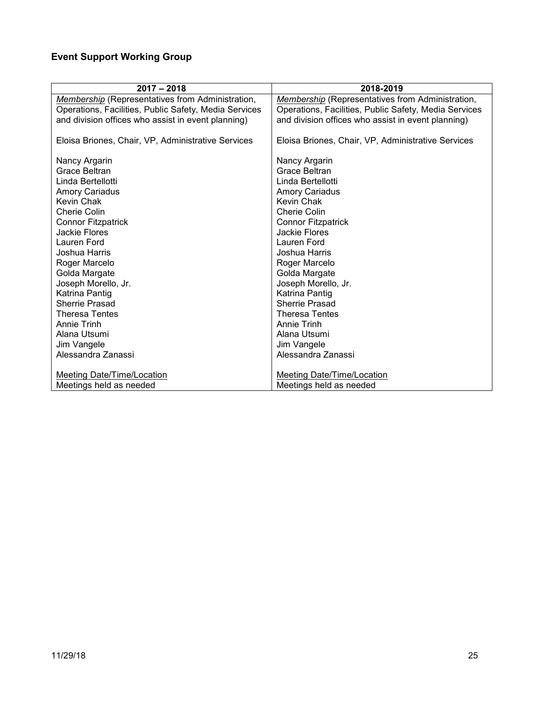# <span id="page-24-0"></span>**Event Support Working Group**

| $2017 - 2018$                                           | 2018-2019                                               |
|---------------------------------------------------------|---------------------------------------------------------|
| <b>Membership</b> (Representatives from Administration, | <b>Membership</b> (Representatives from Administration, |
| Operations, Facilities, Public Safety, Media Services   | Operations, Facilities, Public Safety, Media Services   |
| and division offices who assist in event planning)      | and division offices who assist in event planning)      |
| Eloisa Briones, Chair, VP, Administrative Services      | Eloisa Briones, Chair, VP, Administrative Services      |
| Nancy Argarin                                           | Nancy Argarin                                           |
| Grace Beltran                                           | Grace Beltran                                           |
| Linda Bertellotti                                       | Linda Bertellotti                                       |
| <b>Amory Cariadus</b>                                   | <b>Amory Cariadus</b>                                   |
| Kevin Chak                                              | Kevin Chak                                              |
| Cherie Colin                                            | Cherie Colin                                            |
| <b>Connor Fitzpatrick</b>                               | <b>Connor Fitzpatrick</b>                               |
| Jackie Flores                                           | <b>Jackie Flores</b>                                    |
| Lauren Ford                                             | Lauren Ford                                             |
| Joshua Harris                                           | Joshua Harris                                           |
| Roger Marcelo                                           | Roger Marcelo                                           |
| Golda Margate                                           | Golda Margate                                           |
| Joseph Morello, Jr.                                     | Joseph Morello, Jr.                                     |
| Katrina Pantig                                          | Katrina Pantig                                          |
| Sherrie Prasad                                          | Sherrie Prasad                                          |
| <b>Theresa Tentes</b>                                   | <b>Theresa Tentes</b>                                   |
| Annie Trinh                                             | Annie Trinh                                             |
| Alana Utsumi                                            | Alana Utsumi                                            |
| Jim Vangele                                             | Jim Vangele                                             |
| Alessandra Zanassi                                      | Alessandra Zanassi                                      |
|                                                         |                                                         |
| Meeting Date/Time/Location                              | Meeting Date/Time/Location                              |
| Meetings held as needed                                 | Meetings held as needed                                 |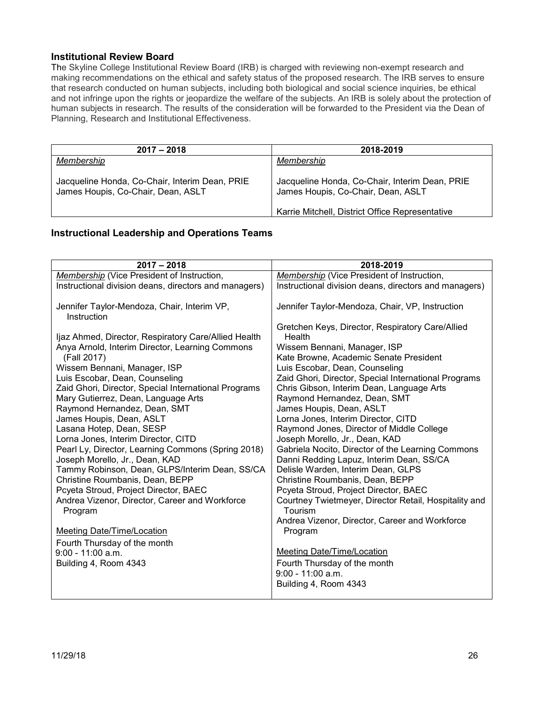#### <span id="page-25-0"></span>**Institutional Review Board**

The Skyline College Institutional Review Board (IRB) is charged with reviewing non-exempt research and making recommendations on the ethical and safety status of the proposed research. The IRB serves to ensure that research conducted on human subjects, including both biological and social science inquiries, be ethical and not infringe upon the rights or jeopardize the welfare of the subjects. An IRB is solely about the protection of human subjects in research. The results of the consideration will be forwarded to the President via the Dean of Planning, Research and Institutional Effectiveness.

| $2017 - 2018$                                                                        | 2018-2019                                                                            |
|--------------------------------------------------------------------------------------|--------------------------------------------------------------------------------------|
| Membership                                                                           | Membership                                                                           |
| Jacqueline Honda, Co-Chair, Interim Dean, PRIE<br>James Houpis, Co-Chair, Dean, ASLT | Jacqueline Honda, Co-Chair, Interim Dean, PRIE<br>James Houpis, Co-Chair, Dean, ASLT |
|                                                                                      | Karrie Mitchell, District Office Representative                                      |

#### <span id="page-25-1"></span>**Instructional Leadership and Operations Teams**

| $2017 - 2018$                                                                                                                                                                                                                                                                                                                                                                                                                                                                                                                                                                                                                                                                                                                                                                                                                  | 2018-2019                                                                                                                                                                                                                                                                                                                                                                                                                                                                                                                                                                                                                                                                                                                                                                                                                                                                                                                              |
|--------------------------------------------------------------------------------------------------------------------------------------------------------------------------------------------------------------------------------------------------------------------------------------------------------------------------------------------------------------------------------------------------------------------------------------------------------------------------------------------------------------------------------------------------------------------------------------------------------------------------------------------------------------------------------------------------------------------------------------------------------------------------------------------------------------------------------|----------------------------------------------------------------------------------------------------------------------------------------------------------------------------------------------------------------------------------------------------------------------------------------------------------------------------------------------------------------------------------------------------------------------------------------------------------------------------------------------------------------------------------------------------------------------------------------------------------------------------------------------------------------------------------------------------------------------------------------------------------------------------------------------------------------------------------------------------------------------------------------------------------------------------------------|
| Membership (Vice President of Instruction,                                                                                                                                                                                                                                                                                                                                                                                                                                                                                                                                                                                                                                                                                                                                                                                     | Membership (Vice President of Instruction,                                                                                                                                                                                                                                                                                                                                                                                                                                                                                                                                                                                                                                                                                                                                                                                                                                                                                             |
| Instructional division deans, directors and managers)                                                                                                                                                                                                                                                                                                                                                                                                                                                                                                                                                                                                                                                                                                                                                                          | Instructional division deans, directors and managers)                                                                                                                                                                                                                                                                                                                                                                                                                                                                                                                                                                                                                                                                                                                                                                                                                                                                                  |
| Jennifer Taylor-Mendoza, Chair, Interim VP,<br>Instruction                                                                                                                                                                                                                                                                                                                                                                                                                                                                                                                                                                                                                                                                                                                                                                     | Jennifer Taylor-Mendoza, Chair, VP, Instruction                                                                                                                                                                                                                                                                                                                                                                                                                                                                                                                                                                                                                                                                                                                                                                                                                                                                                        |
| Ijaz Ahmed, Director, Respiratory Care/Allied Health<br>Anya Arnold, Interim Director, Learning Commons<br>(Fall 2017)<br>Wissem Bennani, Manager, ISP<br>Luis Escobar, Dean, Counseling<br>Zaid Ghori, Director, Special International Programs<br>Mary Gutierrez, Dean, Language Arts<br>Raymond Hernandez, Dean, SMT<br>James Houpis, Dean, ASLT<br>Lasana Hotep, Dean, SESP<br>Lorna Jones, Interim Director, CITD<br>Pearl Ly, Director, Learning Commons (Spring 2018)<br>Joseph Morello, Jr., Dean, KAD<br>Tammy Robinson, Dean, GLPS/Interim Dean, SS/CA<br>Christine Roumbanis, Dean, BEPP<br>Pcyeta Stroud, Project Director, BAEC<br>Andrea Vizenor, Director, Career and Workforce<br>Program<br><b>Meeting Date/Time/Location</b><br>Fourth Thursday of the month<br>$9:00 - 11:00$ a.m.<br>Building 4, Room 4343 | Gretchen Keys, Director, Respiratory Care/Allied<br>Health<br>Wissem Bennani, Manager, ISP<br>Kate Browne, Academic Senate President<br>Luis Escobar, Dean, Counseling<br>Zaid Ghori, Director, Special International Programs<br>Chris Gibson, Interim Dean, Language Arts<br>Raymond Hernandez, Dean, SMT<br>James Houpis, Dean, ASLT<br>Lorna Jones, Interim Director, CITD<br>Raymond Jones, Director of Middle College<br>Joseph Morello, Jr., Dean, KAD<br>Gabriela Nocito, Director of the Learning Commons<br>Danni Redding Lapuz, Interim Dean, SS/CA<br>Delisle Warden, Interim Dean, GLPS<br>Christine Roumbanis, Dean, BEPP<br>Pcyeta Stroud, Project Director, BAEC<br>Courtney Twietmeyer, Director Retail, Hospitality and<br>Tourism<br>Andrea Vizenor, Director, Career and Workforce<br>Program<br><b>Meeting Date/Time/Location</b><br>Fourth Thursday of the month<br>$9:00 - 11:00$ a.m.<br>Building 4, Room 4343 |
|                                                                                                                                                                                                                                                                                                                                                                                                                                                                                                                                                                                                                                                                                                                                                                                                                                |                                                                                                                                                                                                                                                                                                                                                                                                                                                                                                                                                                                                                                                                                                                                                                                                                                                                                                                                        |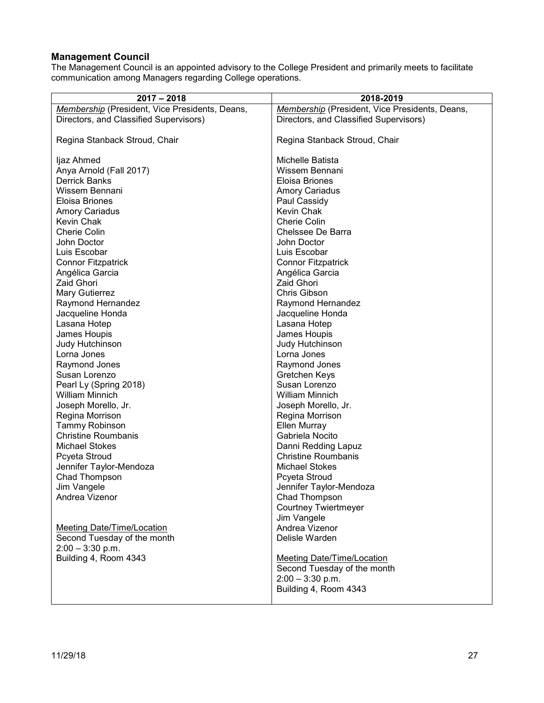### <span id="page-26-0"></span>**Management Council**

The Management Council is an appointed advisory to the College President and primarily meets to facilitate communication among Managers regarding College operations.

| $2017 - 2018$                                  | 2018-2019                                      |
|------------------------------------------------|------------------------------------------------|
| Membership (President, Vice Presidents, Deans, | Membership (President, Vice Presidents, Deans, |
| Directors, and Classified Supervisors)         | Directors, and Classified Supervisors)         |
|                                                |                                                |
| Regina Stanback Stroud, Chair                  | Regina Stanback Stroud, Chair                  |
|                                                |                                                |
| ljaz Ahmed                                     | Michelle Batista                               |
| Anya Arnold (Fall 2017)                        | Wissem Bennani                                 |
| <b>Derrick Banks</b>                           | Eloisa Briones                                 |
| Wissem Bennani                                 | <b>Amory Cariadus</b>                          |
| Eloisa Briones                                 | Paul Cassidy                                   |
| <b>Amory Cariadus</b>                          | Kevin Chak                                     |
| Kevin Chak                                     | <b>Cherie Colin</b>                            |
| <b>Cherie Colin</b>                            | Chelssee De Barra                              |
| John Doctor                                    | John Doctor                                    |
| Luis Escobar                                   | Luis Escobar                                   |
| <b>Connor Fitzpatrick</b>                      | <b>Connor Fitzpatrick</b>                      |
| Angélica Garcia                                | Angélica Garcia                                |
| Zaid Ghori                                     | <b>Zaid Ghori</b>                              |
| Mary Gutierrez                                 | Chris Gibson                                   |
| Raymond Hernandez                              | Raymond Hernandez                              |
| Jacqueline Honda                               | Jacqueline Honda                               |
| Lasana Hotep                                   | Lasana Hotep                                   |
| James Houpis                                   | James Houpis                                   |
| Judy Hutchinson                                | Judy Hutchinson                                |
| Lorna Jones                                    | Lorna Jones                                    |
| Raymond Jones                                  | Raymond Jones                                  |
| Susan Lorenzo                                  | Gretchen Keys                                  |
| Pearl Ly (Spring 2018)                         | Susan Lorenzo                                  |
| <b>William Minnich</b>                         | <b>William Minnich</b>                         |
| Joseph Morello, Jr.                            | Joseph Morello, Jr.                            |
| Regina Morrison                                | Regina Morrison                                |
| <b>Tammy Robinson</b>                          | Ellen Murray                                   |
| <b>Christine Roumbanis</b>                     | Gabriela Nocito                                |
| <b>Michael Stokes</b>                          | Danni Redding Lapuz                            |
| Pcyeta Stroud                                  | <b>Christine Roumbanis</b>                     |
| Jennifer Taylor-Mendoza                        | <b>Michael Stokes</b>                          |
| Chad Thompson                                  | Pcyeta Stroud                                  |
| Jim Vangele                                    | Jennifer Taylor-Mendoza                        |
| Andrea Vizenor                                 | Chad Thompson                                  |
|                                                | <b>Courtney Twiertmeyer</b>                    |
|                                                | Jim Vangele                                    |
| <b>Meeting Date/Time/Location</b>              | Andrea Vizenor                                 |
| Second Tuesday of the month                    | Delisle Warden                                 |
| $2:00 - 3:30$ p.m.                             |                                                |
| Building 4, Room 4343                          | <b>Meeting Date/Time/Location</b>              |
|                                                | Second Tuesday of the month                    |
|                                                | $2:00 - 3:30$ p.m.                             |
|                                                | Building 4, Room 4343                          |
|                                                |                                                |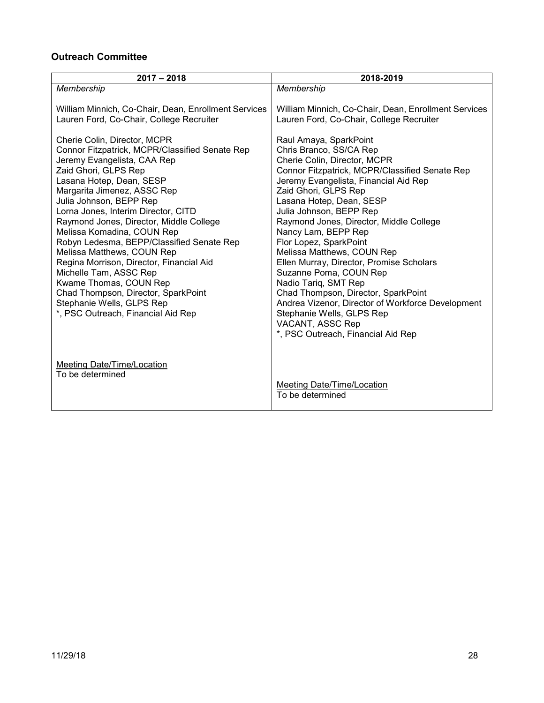# <span id="page-27-0"></span>**Outreach Committee**

| $2017 - 2018$                                                                                                                                                                                                                                                                                                                                                                                                                                                                                                                                                                                                                    | 2018-2019                                                                                                                                                                                                                                                                                                                                                                                                                                                                                                                                                                                                                                                              |
|----------------------------------------------------------------------------------------------------------------------------------------------------------------------------------------------------------------------------------------------------------------------------------------------------------------------------------------------------------------------------------------------------------------------------------------------------------------------------------------------------------------------------------------------------------------------------------------------------------------------------------|------------------------------------------------------------------------------------------------------------------------------------------------------------------------------------------------------------------------------------------------------------------------------------------------------------------------------------------------------------------------------------------------------------------------------------------------------------------------------------------------------------------------------------------------------------------------------------------------------------------------------------------------------------------------|
| Membership                                                                                                                                                                                                                                                                                                                                                                                                                                                                                                                                                                                                                       | Membership                                                                                                                                                                                                                                                                                                                                                                                                                                                                                                                                                                                                                                                             |
| William Minnich, Co-Chair, Dean, Enrollment Services<br>Lauren Ford, Co-Chair, College Recruiter                                                                                                                                                                                                                                                                                                                                                                                                                                                                                                                                 | William Minnich, Co-Chair, Dean, Enrollment Services<br>Lauren Ford, Co-Chair, College Recruiter                                                                                                                                                                                                                                                                                                                                                                                                                                                                                                                                                                       |
| Cherie Colin, Director, MCPR<br>Connor Fitzpatrick, MCPR/Classified Senate Rep<br>Jeremy Evangelista, CAA Rep<br>Zaid Ghori, GLPS Rep<br>Lasana Hotep, Dean, SESP<br>Margarita Jimenez, ASSC Rep<br>Julia Johnson, BEPP Rep<br>Lorna Jones, Interim Director, CITD<br>Raymond Jones, Director, Middle College<br>Melissa Komadina, COUN Rep<br>Robyn Ledesma, BEPP/Classified Senate Rep<br>Melissa Matthews, COUN Rep<br>Regina Morrison, Director, Financial Aid<br>Michelle Tam, ASSC Rep<br>Kwame Thomas, COUN Rep<br>Chad Thompson, Director, SparkPoint<br>Stephanie Wells, GLPS Rep<br>*, PSC Outreach, Financial Aid Rep | Raul Amaya, SparkPoint<br>Chris Branco, SS/CA Rep<br>Cherie Colin, Director, MCPR<br>Connor Fitzpatrick, MCPR/Classified Senate Rep<br>Jeremy Evangelista, Financial Aid Rep<br>Zaid Ghori, GLPS Rep<br>Lasana Hotep, Dean, SESP<br>Julia Johnson, BEPP Rep<br>Raymond Jones, Director, Middle College<br>Nancy Lam, BEPP Rep<br>Flor Lopez, SparkPoint<br>Melissa Matthews, COUN Rep<br>Ellen Murray, Director, Promise Scholars<br>Suzanne Poma, COUN Rep<br>Nadio Tariq, SMT Rep<br>Chad Thompson, Director, SparkPoint<br>Andrea Vizenor, Director of Workforce Development<br>Stephanie Wells, GLPS Rep<br>VACANT, ASSC Rep<br>*, PSC Outreach, Financial Aid Rep |
| <b>Meeting Date/Time/Location</b><br>To be determined                                                                                                                                                                                                                                                                                                                                                                                                                                                                                                                                                                            | <b>Meeting Date/Time/Location</b><br>To be determined                                                                                                                                                                                                                                                                                                                                                                                                                                                                                                                                                                                                                  |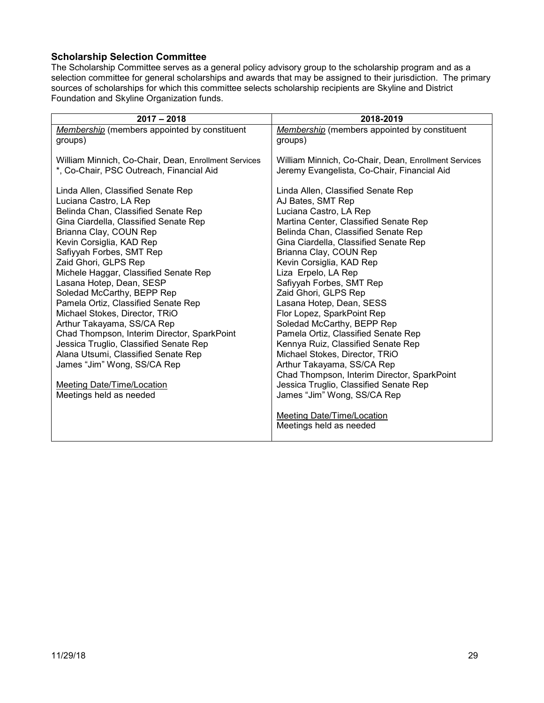### <span id="page-28-0"></span>**Scholarship Selection Committee**

The Scholarship Committee serves as a general policy advisory group to the scholarship program and as a selection committee for general scholarships and awards that may be assigned to their jurisdiction. The primary sources of scholarships for which this committee selects scholarship recipients are Skyline and District Foundation and Skyline Organization funds.

| $2017 - 2018$                                                             | 2018-2019                                                         |
|---------------------------------------------------------------------------|-------------------------------------------------------------------|
| Membership (members appointed by constituent                              | Membership (members appointed by constituent                      |
| groups)                                                                   | groups)                                                           |
| William Minnich, Co-Chair, Dean, Enrollment Services                      | William Minnich, Co-Chair, Dean, Enrollment Services              |
| *, Co-Chair, PSC Outreach, Financial Aid                                  | Jeremy Evangelista, Co-Chair, Financial Aid                       |
|                                                                           |                                                                   |
| Linda Allen, Classified Senate Rep                                        | Linda Allen, Classified Senate Rep                                |
| Luciana Castro, LA Rep                                                    | AJ Bates, SMT Rep                                                 |
| Belinda Chan, Classified Senate Rep                                       | Luciana Castro, LA Rep                                            |
| Gina Ciardella, Classified Senate Rep                                     | Martina Center, Classified Senate Rep                             |
| Brianna Clay, COUN Rep                                                    | Belinda Chan, Classified Senate Rep                               |
| Kevin Corsiglia, KAD Rep                                                  | Gina Ciardella, Classified Senate Rep                             |
| Safiyyah Forbes, SMT Rep                                                  | Brianna Clay, COUN Rep                                            |
| Zaid Ghori, GLPS Rep                                                      | Kevin Corsiglia, KAD Rep                                          |
| Michele Haggar, Classified Senate Rep                                     | Liza Erpelo, LA Rep                                               |
| Lasana Hotep, Dean, SESP                                                  | Safiyyah Forbes, SMT Rep                                          |
| Soledad McCarthy, BEPP Rep                                                | Zaid Ghori, GLPS Rep                                              |
| Pamela Ortiz, Classified Senate Rep                                       | Lasana Hotep, Dean, SESS                                          |
| Michael Stokes, Director, TRiO                                            | Flor Lopez, SparkPoint Rep                                        |
| Arthur Takayama, SS/CA Rep<br>Chad Thompson, Interim Director, SparkPoint | Soledad McCarthy, BEPP Rep<br>Pamela Ortiz, Classified Senate Rep |
| Jessica Truglio, Classified Senate Rep                                    | Kennya Ruiz, Classified Senate Rep                                |
| Alana Utsumi, Classified Senate Rep                                       | Michael Stokes, Director, TRiO                                    |
| James "Jim" Wong, SS/CA Rep                                               | Arthur Takayama, SS/CA Rep                                        |
|                                                                           | Chad Thompson, Interim Director, SparkPoint                       |
| <b>Meeting Date/Time/Location</b>                                         | Jessica Truglio, Classified Senate Rep                            |
| Meetings held as needed                                                   | James "Jim" Wong, SS/CA Rep                                       |
|                                                                           |                                                                   |
|                                                                           | Meeting Date/Time/Location                                        |
|                                                                           | Meetings held as needed                                           |
|                                                                           |                                                                   |
|                                                                           |                                                                   |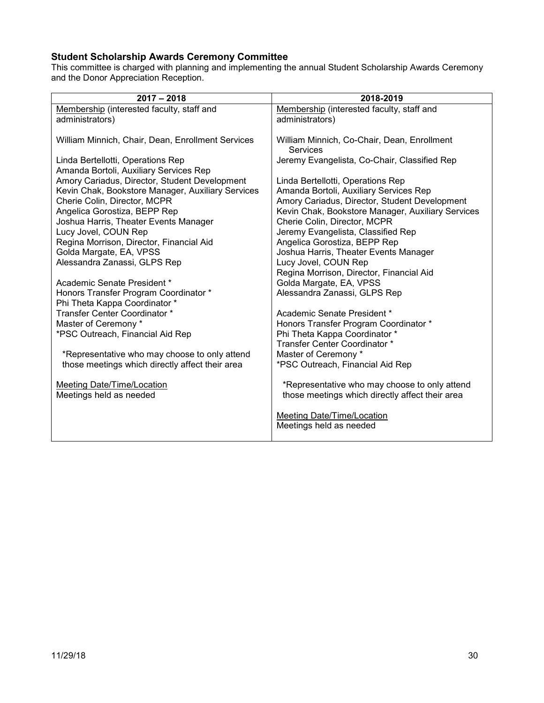# <span id="page-29-0"></span>**Student Scholarship Awards Ceremony Committee**

This committee is charged with planning and implementing the annual Student Scholarship Awards Ceremony and the Donor Appreciation Reception.

| $2017 - 2018$                                     | 2018-2019                                                                                        |
|---------------------------------------------------|--------------------------------------------------------------------------------------------------|
| Membership (interested faculty, staff and         | Membership (interested faculty, staff and                                                        |
| administrators)                                   | administrators)                                                                                  |
|                                                   |                                                                                                  |
| William Minnich, Chair, Dean, Enrollment Services | William Minnich, Co-Chair, Dean, Enrollment                                                      |
|                                                   | <b>Services</b>                                                                                  |
| Linda Bertellotti, Operations Rep                 | Jeremy Evangelista, Co-Chair, Classified Rep                                                     |
| Amanda Bortoli, Auxiliary Services Rep            |                                                                                                  |
| Amory Cariadus, Director, Student Development     | Linda Bertellotti, Operations Rep                                                                |
| Kevin Chak, Bookstore Manager, Auxiliary Services | Amanda Bortoli, Auxiliary Services Rep                                                           |
| Cherie Colin, Director, MCPR                      | Amory Cariadus, Director, Student Development                                                    |
| Angelica Gorostiza, BEPP Rep                      | Kevin Chak, Bookstore Manager, Auxiliary Services                                                |
| Joshua Harris, Theater Events Manager             | Cherie Colin, Director, MCPR                                                                     |
| Lucy Jovel, COUN Rep                              | Jeremy Evangelista, Classified Rep                                                               |
| Regina Morrison, Director, Financial Aid          | Angelica Gorostiza, BEPP Rep                                                                     |
| Golda Margate, EA, VPSS                           | Joshua Harris, Theater Events Manager                                                            |
| Alessandra Zanassi, GLPS Rep                      | Lucy Jovel, COUN Rep                                                                             |
|                                                   | Regina Morrison, Director, Financial Aid                                                         |
| Academic Senate President *                       | Golda Margate, EA, VPSS                                                                          |
| Honors Transfer Program Coordinator *             | Alessandra Zanassi, GLPS Rep                                                                     |
| Phi Theta Kappa Coordinator *                     |                                                                                                  |
| Transfer Center Coordinator *                     | Academic Senate President *                                                                      |
| Master of Ceremony *                              | Honors Transfer Program Coordinator *                                                            |
| *PSC Outreach, Financial Aid Rep                  | Phi Theta Kappa Coordinator *                                                                    |
|                                                   | Transfer Center Coordinator *                                                                    |
| *Representative who may choose to only attend     | Master of Ceremony *                                                                             |
| those meetings which directly affect their area   | *PSC Outreach, Financial Aid Rep                                                                 |
| Meeting Date/Time/Location                        |                                                                                                  |
| Meetings held as needed                           | *Representative who may choose to only attend<br>those meetings which directly affect their area |
|                                                   |                                                                                                  |
|                                                   | Meeting Date/Time/Location                                                                       |
|                                                   | Meetings held as needed                                                                          |
|                                                   |                                                                                                  |
|                                                   |                                                                                                  |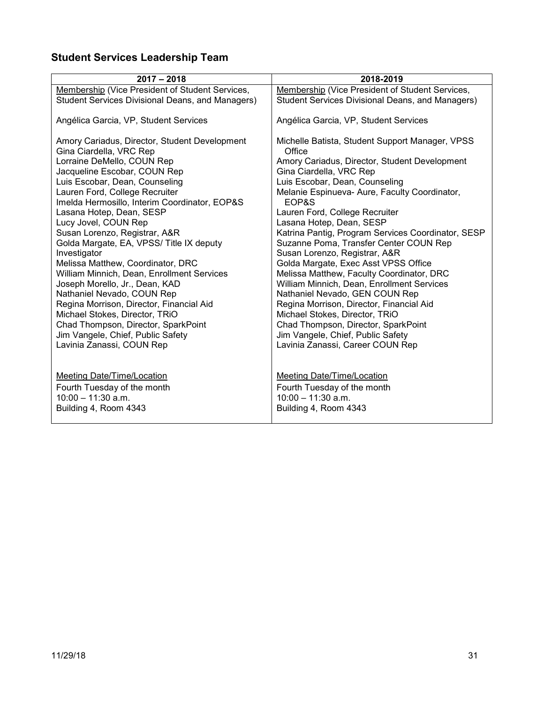# <span id="page-30-0"></span>**Student Services Leadership Team**

| $2017 - 2018$                                                                                                                                                                | 2018-2019                                                                                                                                                                                                          |
|------------------------------------------------------------------------------------------------------------------------------------------------------------------------------|--------------------------------------------------------------------------------------------------------------------------------------------------------------------------------------------------------------------|
| <b>Membership (Vice President of Student Services,</b>                                                                                                                       | Membership (Vice President of Student Services,                                                                                                                                                                    |
| Student Services Divisional Deans, and Managers)                                                                                                                             | Student Services Divisional Deans, and Managers)                                                                                                                                                                   |
| Angélica Garcia, VP, Student Services                                                                                                                                        | Angélica Garcia, VP, Student Services                                                                                                                                                                              |
| Amory Cariadus, Director, Student Development<br>Gina Ciardella, VRC Rep<br>Lorraine DeMello, COUN Rep                                                                       | Michelle Batista, Student Support Manager, VPSS<br>Office<br>Amory Cariadus, Director, Student Development                                                                                                         |
| Jacqueline Escobar, COUN Rep                                                                                                                                                 | Gina Ciardella, VRC Rep                                                                                                                                                                                            |
| Luis Escobar, Dean, Counseling                                                                                                                                               | Luis Escobar, Dean, Counseling                                                                                                                                                                                     |
| Lauren Ford, College Recruiter<br>Imelda Hermosillo, Interim Coordinator, EOP&S                                                                                              | Melanie Espinueva-Aure, Faculty Coordinator,<br>EOP&S                                                                                                                                                              |
| Lasana Hotep, Dean, SESP                                                                                                                                                     | Lauren Ford, College Recruiter                                                                                                                                                                                     |
| Lucy Jovel, COUN Rep                                                                                                                                                         | Lasana Hotep, Dean, SESP                                                                                                                                                                                           |
| Susan Lorenzo, Registrar, A&R<br>Golda Margate, EA, VPSS/ Title IX deputy<br>Investigator<br>Melissa Matthew, Coordinator, DRC<br>William Minnich, Dean, Enrollment Services | Katrina Pantig, Program Services Coordinator, SESP<br>Suzanne Poma, Transfer Center COUN Rep<br>Susan Lorenzo, Registrar, A&R<br>Golda Margate, Exec Asst VPSS Office<br>Melissa Matthew, Faculty Coordinator, DRC |
| Joseph Morello, Jr., Dean, KAD                                                                                                                                               | William Minnich, Dean, Enrollment Services                                                                                                                                                                         |
| Nathaniel Nevado, COUN Rep                                                                                                                                                   | Nathaniel Nevado, GEN COUN Rep                                                                                                                                                                                     |
| Regina Morrison, Director, Financial Aid                                                                                                                                     | Regina Morrison, Director, Financial Aid                                                                                                                                                                           |
| Michael Stokes, Director, TRiO                                                                                                                                               | Michael Stokes, Director, TRiO                                                                                                                                                                                     |
| Chad Thompson, Director, SparkPoint                                                                                                                                          | Chad Thompson, Director, SparkPoint                                                                                                                                                                                |
| Jim Vangele, Chief, Public Safety                                                                                                                                            | Jim Vangele, Chief, Public Safety                                                                                                                                                                                  |
| Lavinia Zanassi, COUN Rep                                                                                                                                                    | Lavinia Zanassi, Career COUN Rep                                                                                                                                                                                   |
|                                                                                                                                                                              |                                                                                                                                                                                                                    |
| <b>Meeting Date/Time/Location</b>                                                                                                                                            | <b>Meeting Date/Time/Location</b>                                                                                                                                                                                  |
| Fourth Tuesday of the month                                                                                                                                                  | Fourth Tuesday of the month                                                                                                                                                                                        |
| $10:00 - 11:30$ a.m.                                                                                                                                                         | $10:00 - 11:30$ a.m.                                                                                                                                                                                               |
| Building 4, Room 4343                                                                                                                                                        | Building 4, Room 4343                                                                                                                                                                                              |
|                                                                                                                                                                              |                                                                                                                                                                                                                    |